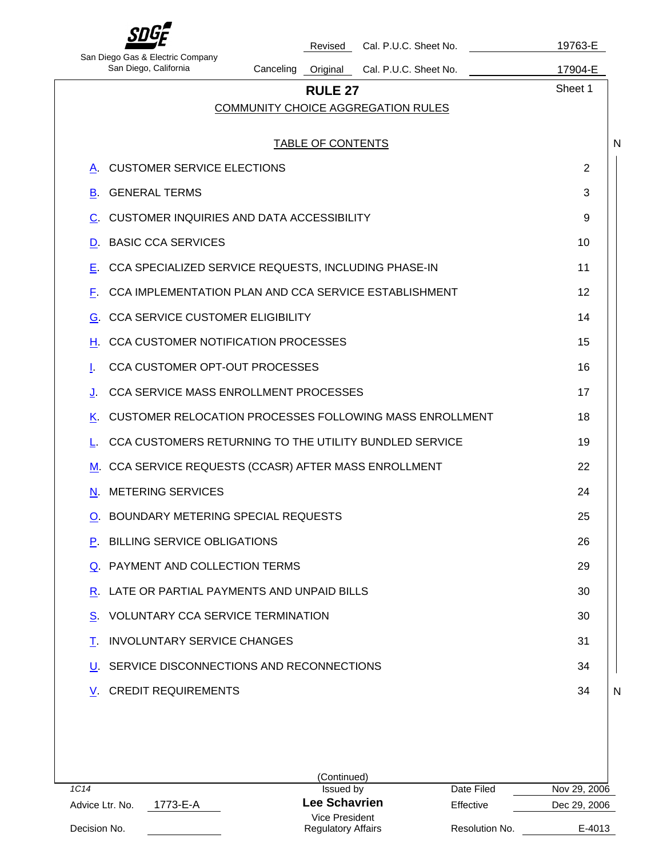|                                                             |                          | Revised        | Cal. P.U.C. Sheet No.                                   | 19763-E |
|-------------------------------------------------------------|--------------------------|----------------|---------------------------------------------------------|---------|
| San Diego Gas & Electric Company<br>San Diego, California   | Canceling                | Original       | Cal. P.U.C. Sheet No.                                   | 17904-E |
|                                                             |                          | <b>RULE 27</b> |                                                         | Sheet 1 |
|                                                             |                          |                | <b>COMMUNITY CHOICE AGGREGATION RULES</b>               |         |
|                                                             | <b>TABLE OF CONTENTS</b> |                |                                                         |         |
| <b>CUSTOMER SERVICE ELECTIONS</b><br>Α.                     |                          |                |                                                         | 2       |
| <b>GENERAL TERMS</b><br>В.                                  |                          |                |                                                         | 3       |
| <b>CUSTOMER INQUIRIES AND DATA ACCESSIBILITY</b><br>C.      |                          |                |                                                         | 9       |
| <b>BASIC CCA SERVICES</b><br>D.                             |                          |                |                                                         | 10      |
| CCA SPECIALIZED SERVICE REQUESTS, INCLUDING PHASE-IN<br>Е.  |                          |                |                                                         | 11      |
| CCA IMPLEMENTATION PLAN AND CCA SERVICE ESTABLISHMENT<br>F. |                          |                |                                                         | 12      |
| <b>CCA SERVICE CUSTOMER ELIGIBILITY</b><br>G.               |                          |                |                                                         | 14      |
| <b>CCA CUSTOMER NOTIFICATION PROCESSES</b><br>н.            |                          |                |                                                         | 15      |
| CCA CUSTOMER OPT-OUT PROCESSES<br>ı.                        |                          |                |                                                         | 16      |
| CCA SERVICE MASS ENROLLMENT PROCESSES<br>J.                 |                          |                |                                                         | 17      |
| Κ.                                                          |                          |                | CUSTOMER RELOCATION PROCESSES FOLLOWING MASS ENROLLMENT | 18      |
| CCA CUSTOMERS RETURNING TO THE UTILITY BUNDLED SERVICE      |                          |                |                                                         | 19      |
| CCA SERVICE REQUESTS (CCASR) AFTER MASS ENROLLMENT<br>М.    |                          |                |                                                         | 22      |
| <b>METERING SERVICES</b><br>N.                              |                          |                |                                                         | 24      |
| O. BOUNDARY METERING SPECIAL REQUESTS                       |                          |                |                                                         | 25      |
| P. BILLING SERVICE OBLIGATIONS                              |                          |                |                                                         | 26      |
| Q. PAYMENT AND COLLECTION TERMS                             |                          |                |                                                         | 29      |
| LATE OR PARTIAL PAYMENTS AND UNPAID BILLS<br>R.             |                          |                |                                                         | 30      |
| <b>VOLUNTARY CCA SERVICE TERMINATION</b><br>S.              |                          |                |                                                         | 30      |
| <b>INVOLUNTARY SERVICE CHANGES</b><br>т.                    |                          |                |                                                         | 31      |
| SERVICE DISCONNECTIONS AND RECONNECTIONS<br>U.              |                          |                |                                                         | 34      |
| <b>V. CREDIT REQUIREMENTS</b>                               |                          |                |                                                         | 34      |

|                             | (Continued)               |                |              |
|-----------------------------|---------------------------|----------------|--------------|
| 1C14                        | Issued by                 | Date Filed     | Nov 29, 2006 |
| 1773-E-A<br>Advice Ltr. No. | Lee Schavrien             | Effective      | Dec 29, 2006 |
|                             | Vice President            |                |              |
| Decision No.                | <b>Regulatory Affairs</b> | Resolution No. | E-4013       |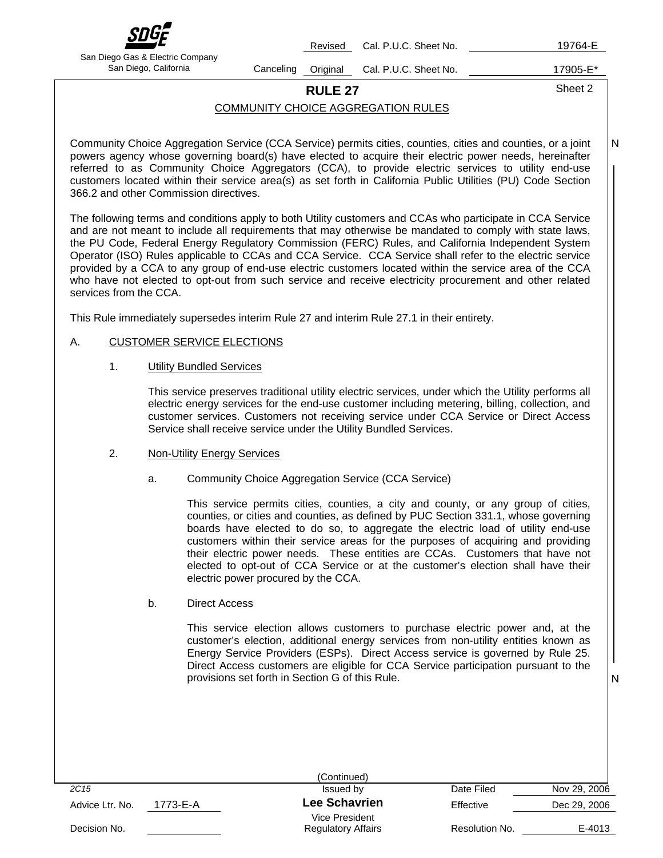

Revised Cal. P.U.C. Sheet No. 19764-E

San Diego Gas & Electric Company

San Diego, California **Canceling Original Cal. P.U.C. Sheet No.** 17905-E<sup>\*</sup>

# **RULE 27** Sheet 2

COMMUNITY CHOICE AGGREGATION RULES

Community Choice Aggregation Service (CCA Service) permits cities, counties, cities and counties, or a joint powers agency whose governing board(s) have elected to acquire their electric power needs, hereinafter referred to as Community Choice Aggregators (CCA), to provide electric services to utility end-use customers located within their service area(s) as set forth in California Public Utilities (PU) Code Section 366.2 and other Commission directives. N

The following terms and conditions apply to both Utility customers and CCAs who participate in CCA Service and are not meant to include all requirements that may otherwise be mandated to comply with state laws, the PU Code, Federal Energy Regulatory Commission (FERC) Rules, and California Independent System Operator (ISO) Rules applicable to CCAs and CCA Service. CCA Service shall refer to the electric service provided by a CCA to any group of end-use electric customers located within the service area of the CCA who have not elected to opt-out from such service and receive electricity procurement and other related services from the CCA.

This Rule immediately supersedes interim Rule 27 and interim Rule 27.1 in their entirety.

### A. CUSTOMER SERVICE ELECTIONS

1. Utility Bundled Services

This service preserves traditional utility electric services, under which the Utility performs all electric energy services for the end-use customer including metering, billing, collection, and customer services. Customers not receiving service under CCA Service or Direct Access Service shall receive service under the Utility Bundled Services.

- 2. Non-Utility Energy Services
	- a. Community Choice Aggregation Service (CCA Service)

This service permits cities, counties, a city and county, or any group of cities, counties, or cities and counties, as defined by PUC Section 331.1, whose governing boards have elected to do so, to aggregate the electric load of utility end-use customers within their service areas for the purposes of acquiring and providing their electric power needs. These entities are CCAs. Customers that have not elected to opt-out of CCA Service or at the customer's election shall have their electric power procured by the CCA.

b. Direct Access

This service election allows customers to purchase electric power and, at the customer's election, additional energy services from non-utility entities known as Energy Service Providers (ESPs). Direct Access service is governed by Rule 25. Direct Access customers are eligible for CCA Service participation pursuant to the provisions set forth in Section G of this Rule.

|                             | (Continued)               |                |              |
|-----------------------------|---------------------------|----------------|--------------|
| 2C <sub>15</sub>            | Issued by                 | Date Filed     | Nov 29, 2006 |
| 1773-E-A<br>Advice Ltr. No. | <b>Lee Schavrien</b>      | Effective      | Dec 29, 2006 |
|                             | Vice President            |                |              |
| Decision No.                | <b>Regulatory Affairs</b> | Resolution No. | E-4013       |
|                             |                           |                |              |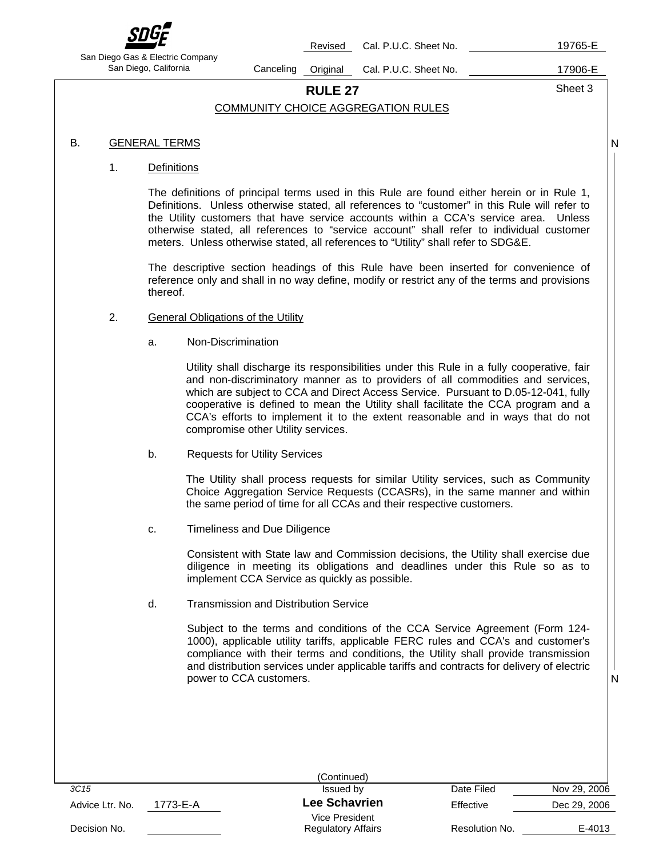

Revised Cal. P.U.C. Sheet No. 19765-E

San Diego Gas & Electric Company

San Diego, California Canceling Original Cal. P.U.C. Sheet No. 17906-E

**RULE 27** Sheet 3

N

N

### COMMUNITY CHOICE AGGREGATION RULES

### B. GENERAL TERMS

### 1. Definitions

The definitions of principal terms used in this Rule are found either herein or in Rule 1, Definitions. Unless otherwise stated, all references to "customer" in this Rule will refer to the Utility customers that have service accounts within a CCA's service area. Unless otherwise stated, all references to "service account" shall refer to individual customer meters. Unless otherwise stated, all references to "Utility" shall refer to SDG&E.

The descriptive section headings of this Rule have been inserted for convenience of reference only and shall in no way define, modify or restrict any of the terms and provisions thereof.

### 2. General Obligations of the Utility

a. Non-Discrimination

Utility shall discharge its responsibilities under this Rule in a fully cooperative, fair and non-discriminatory manner as to providers of all commodities and services, which are subject to CCA and Direct Access Service. Pursuant to D.05-12-041, fully cooperative is defined to mean the Utility shall facilitate the CCA program and a CCA's efforts to implement it to the extent reasonable and in ways that do not compromise other Utility services.

b. Requests for Utility Services

The Utility shall process requests for similar Utility services, such as Community Choice Aggregation Service Requests (CCASRs), in the same manner and within the same period of time for all CCAs and their respective customers.

c. Timeliness and Due Diligence

Consistent with State law and Commission decisions, the Utility shall exercise due diligence in meeting its obligations and deadlines under this Rule so as to implement CCA Service as quickly as possible.

d. Transmission and Distribution Service

Subject to the terms and conditions of the CCA Service Agreement (Form 124- 1000), applicable utility tariffs, applicable FERC rules and CCA's and customer's compliance with their terms and conditions, the Utility shall provide transmission and distribution services under applicable tariffs and contracts for delivery of electric power to CCA customers.

|                             | (Continued)               |                |              |
|-----------------------------|---------------------------|----------------|--------------|
| 3C <sub>15</sub>            | Issued by                 | Date Filed     | Nov 29, 2006 |
| 1773-E-A<br>Advice Ltr. No. | <b>Lee Schavrien</b>      | Effective      | Dec 29, 2006 |
|                             | Vice President            |                |              |
| Decision No.                | <b>Regulatory Affairs</b> | Resolution No. | E-4013       |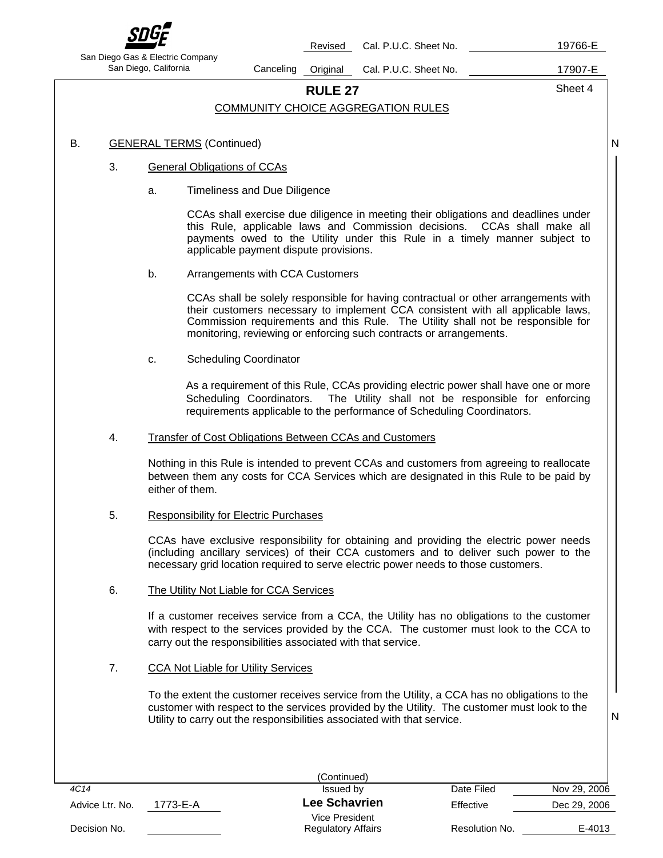

Revised Cal. P.U.C. Sheet No. 19766-E

San Diego Gas & Electric Company

San Diego, California **Canceling Original Cal. P.U.C. Sheet No.** 17907-E

**RULE 27** Sheet 4

N

N

### COMMUNITY CHOICE AGGREGATION RULES

### B. GENERAL TERMS (Continued)

### 3. General Obligations of CCAs

a. Timeliness and Due Diligence

CCAs shall exercise due diligence in meeting their obligations and deadlines under this Rule, applicable laws and Commission decisions. CCAs shall make all payments owed to the Utility under this Rule in a timely manner subject to applicable payment dispute provisions.

b. Arrangements with CCA Customers

CCAs shall be solely responsible for having contractual or other arrangements with their customers necessary to implement CCA consistent with all applicable laws, Commission requirements and this Rule. The Utility shall not be responsible for monitoring, reviewing or enforcing such contracts or arrangements.

c. Scheduling Coordinator

As a requirement of this Rule, CCAs providing electric power shall have one or more Scheduling Coordinators. The Utility shall not be responsible for enforcing requirements applicable to the performance of Scheduling Coordinators.

4. Transfer of Cost Obligations Between CCAs and Customers

Nothing in this Rule is intended to prevent CCAs and customers from agreeing to reallocate between them any costs for CCA Services which are designated in this Rule to be paid by either of them.

5. Responsibility for Electric Purchases

CCAs have exclusive responsibility for obtaining and providing the electric power needs (including ancillary services) of their CCA customers and to deliver such power to the necessary grid location required to serve electric power needs to those customers.

6. The Utility Not Liable for CCA Services

If a customer receives service from a CCA, the Utility has no obligations to the customer with respect to the services provided by the CCA. The customer must look to the CCA to carry out the responsibilities associated with that service.

7. CCA Not Liable for Utility Services

 To the extent the customer receives service from the Utility, a CCA has no obligations to the customer with respect to the services provided by the Utility. The customer must look to the Utility to carry out the responsibilities associated with that service.

|          | (Continued)               |                |              |
|----------|---------------------------|----------------|--------------|
|          | Issued by                 | Date Filed     | Nov 29, 2006 |
| 1773-E-A | Lee Schavrien             | Effective      | Dec 29, 2006 |
|          | Vice President            |                |              |
|          | <b>Regulatory Affairs</b> | Resolution No. | E-4013       |
|          |                           |                |              |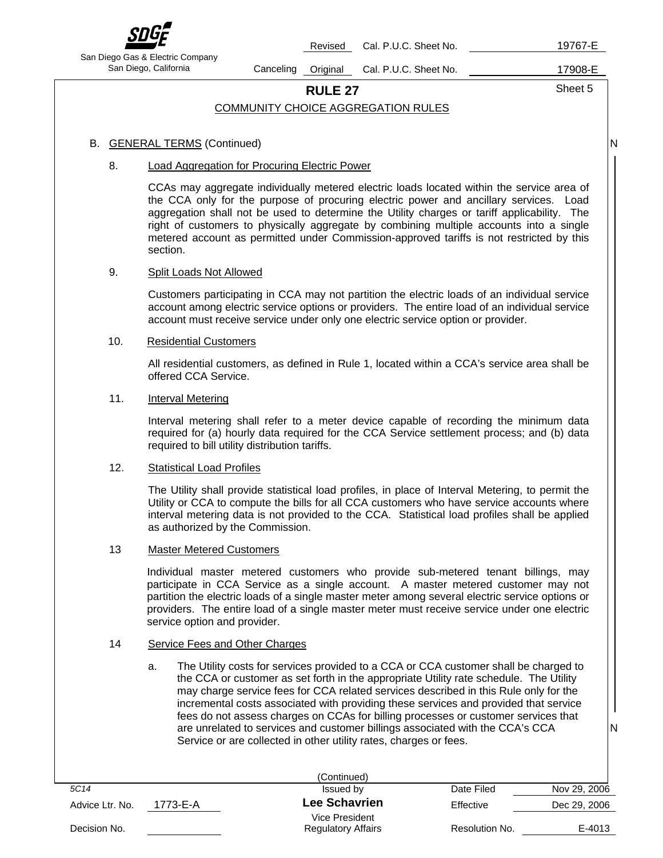

Revised Cal. P.U.C. Sheet No. 19767-E

San Diego Gas & Electric Company

San Diego, California **Canceling Original Cal. P.U.C. Sheet No.** 17908-E

**RULE 27** Sheet 5

N

N

### COMMUNITY CHOICE AGGREGATION RULES

### B. GENERAL TERMS (Continued)

### 8. Load Aggregation for Procuring Electric Power

CCAs may aggregate individually metered electric loads located within the service area of the CCA only for the purpose of procuring electric power and ancillary services. Load aggregation shall not be used to determine the Utility charges or tariff applicability. The right of customers to physically aggregate by combining multiple accounts into a single metered account as permitted under Commission-approved tariffs is not restricted by this section.

### 9. Split Loads Not Allowed

Customers participating in CCA may not partition the electric loads of an individual service account among electric service options or providers. The entire load of an individual service account must receive service under only one electric service option or provider.

### 10. Residential Customers

All residential customers, as defined in Rule 1, located within a CCA's service area shall be offered CCA Service.

### 11. Interval Metering

Interval metering shall refer to a meter device capable of recording the minimum data required for (a) hourly data required for the CCA Service settlement process; and (b) data required to bill utility distribution tariffs.

### 12. Statistical Load Profiles

The Utility shall provide statistical load profiles, in place of Interval Metering, to permit the Utility or CCA to compute the bills for all CCA customers who have service accounts where interval metering data is not provided to the CCA. Statistical load profiles shall be applied as authorized by the Commission.

### 13 Master Metered Customers

Individual master metered customers who provide sub-metered tenant billings, may participate in CCA Service as a single account. A master metered customer may not partition the electric loads of a single master meter among several electric service options or providers. The entire load of a single master meter must receive service under one electric service option and provider.

### 14 Service Fees and Other Charges

a. The Utility costs for services provided to a CCA or CCA customer shall be charged to the CCA or customer as set forth in the appropriate Utility rate schedule. The Utility may charge service fees for CCA related services described in this Rule only for the incremental costs associated with providing these services and provided that service fees do not assess charges on CCAs for billing processes or customer services that are unrelated to services and customer billings associated with the CCA's CCA Service or are collected in other utility rates, charges or fees.

|                             | (Continued)               |                |              |
|-----------------------------|---------------------------|----------------|--------------|
| 5C14                        | Issued by                 | Date Filed     | Nov 29, 2006 |
| 1773-E-A<br>Advice Ltr. No. | Lee Schavrien             | Effective      | Dec 29, 2006 |
|                             | Vice President            |                |              |
| Decision No.                | <b>Regulatory Affairs</b> | Resolution No. | E-4013       |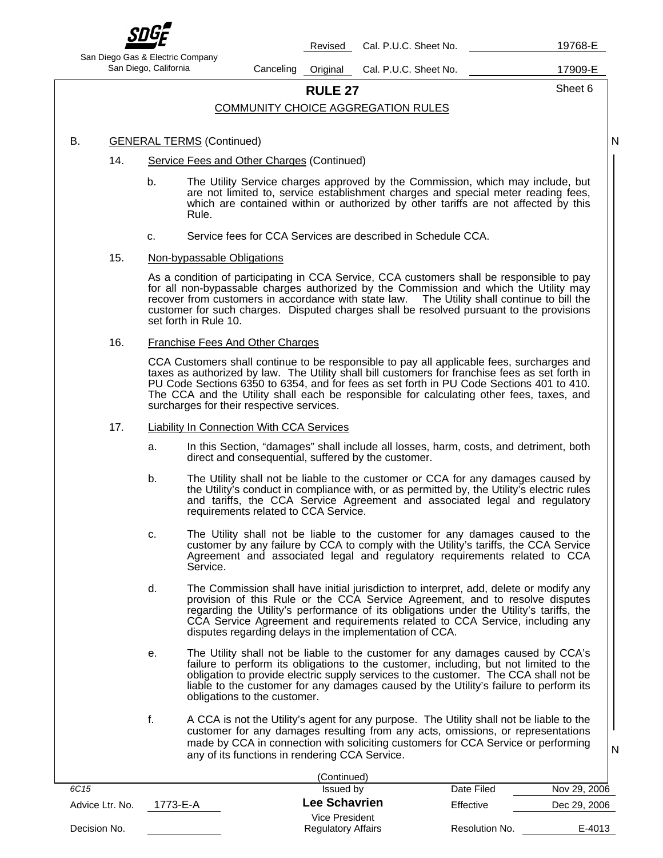

Revised Cal. P.U.C. Sheet No. 19768-E

San Diego Gas & Electric Company

San Diego, California **Canceling Original Cal. P.U.C. Sheet No.** 17909-E

**RULE 27** Sheet 6

N

### COMMUNITY CHOICE AGGREGATION RULES

### B. GENERAL TERMS (Continued)

- 14. Service Fees and Other Charges (Continued)
	- b. The Utility Service charges approved by the Commission, which may include, but are not limited to, service establishment charges and special meter reading fees, which are contained within or authorized by other tariffs are not affected by this Rule.
	- c. Service fees for CCA Services are described in Schedule CCA.

### 15. Non-bypassable Obligations

As a condition of participating in CCA Service, CCA customers shall be responsible to pay for all non-bypassable charges authorized by the Commission and which the Utility may recover from customers in accordance with state law. The Utility shall continue to bill the customer for such charges. Disputed charges shall be resolved pursuant to the provisions set forth in Rule 10.

### 16. Franchise Fees And Other Charges

CCA Customers shall continue to be responsible to pay all applicable fees, surcharges and taxes as authorized by law. The Utility shall bill customers for franchise fees as set forth in PU Code Sections 6350 to 6354, and for fees as set forth in PU Code Sections 401 to 410. The CCA and the Utility shall each be responsible for calculating other fees, taxes, and surcharges for their respective services.

### 17. Liability In Connection With CCA Services

- a. In this Section, "damages" shall include all losses, harm, costs, and detriment, both direct and consequential, suffered by the customer.
- b. The Utility shall not be liable to the customer or CCA for any damages caused by the Utility's conduct in compliance with, or as permitted by, the Utility's electric rules and tariffs, the CCA Service Agreement and associated legal and regulatory requirements related to CCA Service.
- c. The Utility shall not be liable to the customer for any damages caused to the customer by any failure by CCA to comply with the Utility's tariffs, the CCA Service Agreement and associated legal and regulatory requirements related to CCA Service.
- d. The Commission shall have initial jurisdiction to interpret, add, delete or modify any provision of this Rule or the CCA Service Agreement, and to resolve disputes regarding the Utility's performance of its obligations under the Utility's tariffs, the CCA Service Agreement and requirements related to CCA Service, including any disputes regarding delays in the implementation of CCA.
- e. The Utility shall not be liable to the customer for any damages caused by CCA's failure to perform its obligations to the customer, including, but not limited to the obligation to provide electric supply services to the customer. The CCA shall not be liable to the customer for any damages caused by the Utility's failure to perform its obligations to the customer.
- f. A CCA is not the Utility's agent for any purpose. The Utility shall not be liable to the customer for any damages resulting from any acts, omissions, or representations made by CCA in connection with soliciting customers for CCA Service or performing any of its functions in rendering CCA Service.

|--|--|

|                  |          | (Continued)                                 |                |              |
|------------------|----------|---------------------------------------------|----------------|--------------|
| 6C <sub>15</sub> |          | Issued by                                   | Date Filed     | Nov 29, 2006 |
| Advice Ltr. No.  | 1773-E-A | Lee Schavrien                               | Effective      | Dec 29, 2006 |
| Decision No.     |          | Vice President<br><b>Regulatory Affairs</b> | Resolution No. | E-4013       |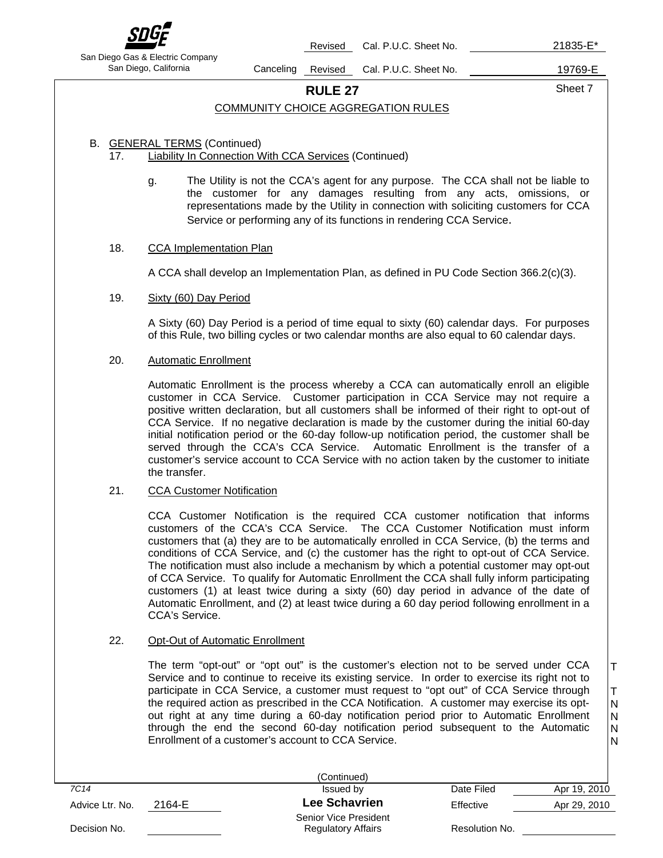

Revised Cal. P.U.C. Sheet No. 21835-E\*

San Diego Gas & Electric Company

San Diego, California Canceling Revised Cal. P.U.C. Sheet No. 19769-E

T

T N

N

### **RULE 27** Sheet 7

### COMMUNITY CHOICE AGGREGATION RULES

### B. GENERAL TERMS (Continued)

17. Liability In Connection With CCA Services (Continued)

g. The Utility is not the CCA's agent for any purpose. The CCA shall not be liable to the customer for any damages resulting from any acts, omissions, or representations made by the Utility in connection with soliciting customers for CCA Service or performing any of its functions in rendering CCA Service.

### 18. CCA Implementation Plan

A CCA shall develop an Implementation Plan, as defined in PU Code Section 366.2(c)(3).

### 19. Sixty (60) Day Period

A Sixty (60) Day Period is a period of time equal to sixty (60) calendar days. For purposes of this Rule, two billing cycles or two calendar months are also equal to 60 calendar days.

### 20. Automatic Enrollment

Automatic Enrollment is the process whereby a CCA can automatically enroll an eligible customer in CCA Service. Customer participation in CCA Service may not require a positive written declaration, but all customers shall be informed of their right to opt-out of CCA Service. If no negative declaration is made by the customer during the initial 60-day initial notification period or the 60-day follow-up notification period, the customer shall be served through the CCA's CCA Service. Automatic Enrollment is the transfer of a customer's service account to CCA Service with no action taken by the customer to initiate the transfer.

### 21. CCA Customer Notification

CCA Customer Notification is the required CCA customer notification that informs customers of the CCA's CCA Service. The CCA Customer Notification must inform customers that (a) they are to be automatically enrolled in CCA Service, (b) the terms and conditions of CCA Service, and (c) the customer has the right to opt-out of CCA Service. The notification must also include a mechanism by which a potential customer may opt-out of CCA Service. To qualify for Automatic Enrollment the CCA shall fully inform participating customers (1) at least twice during a sixty (60) day period in advance of the date of Automatic Enrollment, and (2) at least twice during a 60 day period following enrollment in a CCA's Service.

### 22. Opt-Out of Automatic Enrollment

The term "opt-out" or "opt out" is the customer's election not to be served under CCA Service and to continue to receive its existing service. In order to exercise its right not to participate in CCA Service, a customer must request to "opt out" of CCA Service through the required action as prescribed in the CCA Notification. A customer may exercise its optout right at any time during a 60-day notification period prior to Automatic Enrollment through the end the second 60-day notification period subsequent to the Automatic Enrollment of a customer's account to CCA Service. N N

|                 |        | (Continued)                                        |                |              |
|-----------------|--------|----------------------------------------------------|----------------|--------------|
| 7C14            |        | Issued by                                          | Date Filed     | Apr 19, 2010 |
| Advice Ltr. No. | 2164-E | Lee Schavrien                                      | Effective      | Apr 29, 2010 |
| Decision No.    |        | Senior Vice President<br><b>Regulatory Affairs</b> | Resolution No. |              |
|                 |        |                                                    |                |              |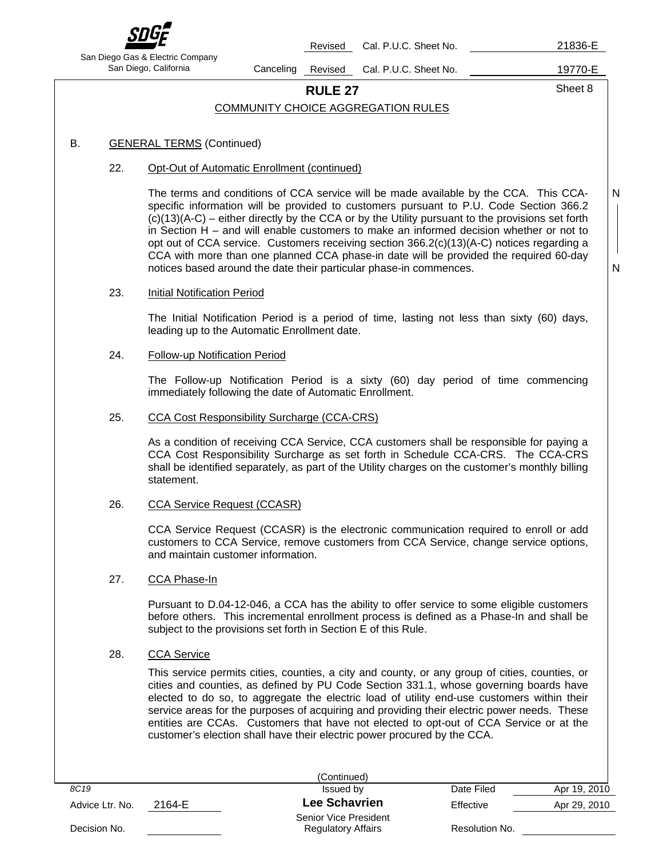

Revised Cal. P.U.C. Sheet No. 21836-E

San Diego Gas & Electric Company

San Diego, California Canceling Revised Cal. P.U.C. Sheet No. 19770-E

**RULE 27** Sheet 8

N

N

### COMMUNITY CHOICE AGGREGATION RULES

### B. GENERAL TERMS (Continued)

### 22. Opt-Out of Automatic Enrollment (continued)

The terms and conditions of CCA service will be made available by the CCA. This CCAspecific information will be provided to customers pursuant to P.U. Code Section 366.2 (c)(13)(A-C) – either directly by the CCA or by the Utility pursuant to the provisions set forth in Section H – and will enable customers to make an informed decision whether or not to opt out of CCA service. Customers receiving section 366.2(c)(13)(A-C) notices regarding a CCA with more than one planned CCA phase-in date will be provided the required 60-day notices based around the date their particular phase-in commences.

### 23. Initial Notification Period

The Initial Notification Period is a period of time, lasting not less than sixty (60) days, leading up to the Automatic Enrollment date.

### 24. Follow-up Notification Period

The Follow-up Notification Period is a sixty (60) day period of time commencing immediately following the date of Automatic Enrollment.

### 25. CCA Cost Responsibility Surcharge (CCA-CRS)

As a condition of receiving CCA Service, CCA customers shall be responsible for paying a CCA Cost Responsibility Surcharge as set forth in Schedule CCA-CRS. The CCA-CRS shall be identified separately, as part of the Utility charges on the customer's monthly billing statement.

### 26. CCA Service Request (CCASR)

CCA Service Request (CCASR) is the electronic communication required to enroll or add customers to CCA Service, remove customers from CCA Service, change service options, and maintain customer information.

### 27. CCA Phase-In

Pursuant to D.04-12-046, a CCA has the ability to offer service to some eligible customers before others. This incremental enrollment process is defined as a Phase-In and shall be subject to the provisions set forth in Section E of this Rule.

### 28. CCA Service

This service permits cities, counties, a city and county, or any group of cities, counties, or cities and counties, as defined by PU Code Section 331.1, whose governing boards have elected to do so, to aggregate the electric load of utility end-use customers within their service areas for the purposes of acquiring and providing their electric power needs. These entities are CCAs. Customers that have not elected to opt-out of CCA Service or at the customer's election shall have their electric power procured by the CCA.

|                 |        | (Continued)                                        |                |              |
|-----------------|--------|----------------------------------------------------|----------------|--------------|
| 8C19            |        | Issued by                                          | Date Filed     | Apr 19, 2010 |
| Advice Ltr. No. | 2164-E | Lee Schavrien                                      | Effective      | Apr 29, 2010 |
| Decision No.    |        | Senior Vice President<br><b>Regulatory Affairs</b> | Resolution No. |              |
|                 |        |                                                    |                |              |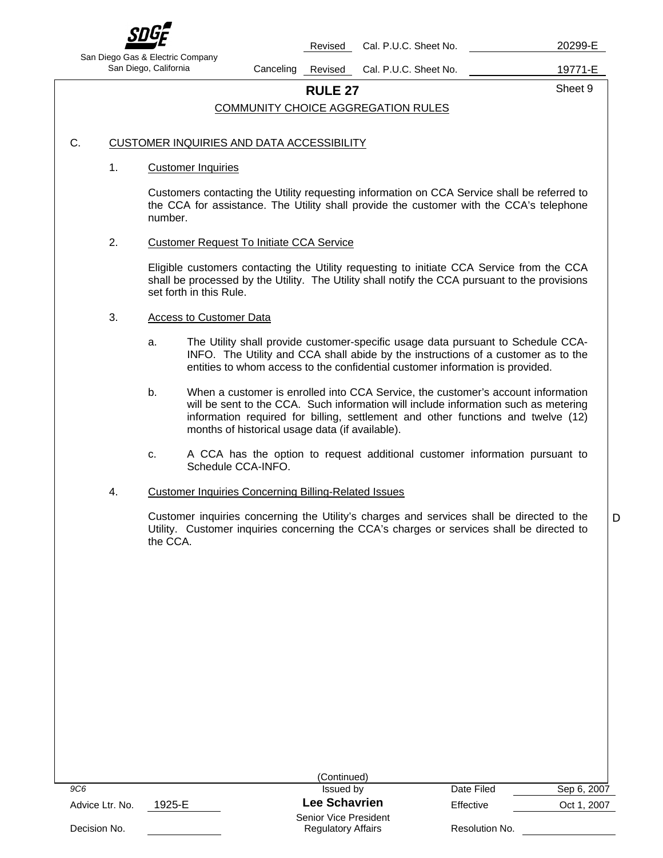

Revised Cal. P.U.C. Sheet No. 20299-E

San Diego Gas & Electric Company

San Diego, California **Canceling Revised Cal. P.U.C. Sheet No.** 19771-E

D

# **RULE 27** Sheet 9

### COMMUNITY CHOICE AGGREGATION RULES

### C. CUSTOMER INQUIRIES AND DATA ACCESSIBILITY

### 1. Customer Inquiries

Customers contacting the Utility requesting information on CCA Service shall be referred to the CCA for assistance. The Utility shall provide the customer with the CCA's telephone number.

### 2. Customer Request To Initiate CCA Service

Eligible customers contacting the Utility requesting to initiate CCA Service from the CCA shall be processed by the Utility. The Utility shall notify the CCA pursuant to the provisions set forth in this Rule.

### 3. Access to Customer Data

- a. The Utility shall provide customer-specific usage data pursuant to Schedule CCA-INFO. The Utility and CCA shall abide by the instructions of a customer as to the entities to whom access to the confidential customer information is provided.
- b. When a customer is enrolled into CCA Service, the customer's account information will be sent to the CCA. Such information will include information such as metering information required for billing, settlement and other functions and twelve (12) months of historical usage data (if available).
- c. A CCA has the option to request additional customer information pursuant to Schedule CCA-INFO.

### 4. Customer Inquiries Concerning Billing-Related Issues

Customer inquiries concerning the Utility's charges and services shall be directed to the Utility. Customer inquiries concerning the CCA's charges or services shall be directed to the CCA.

|                           | (Continued)                                        |                |             |
|---------------------------|----------------------------------------------------|----------------|-------------|
| 9C6                       | Issued by                                          | Date Filed     | Sep 6, 2007 |
| 1925-E<br>Advice Ltr. No. | <b>Lee Schavrien</b>                               | Effective      | Oct 1, 2007 |
| Decision No.              | Senior Vice President<br><b>Regulatory Affairs</b> | Resolution No. |             |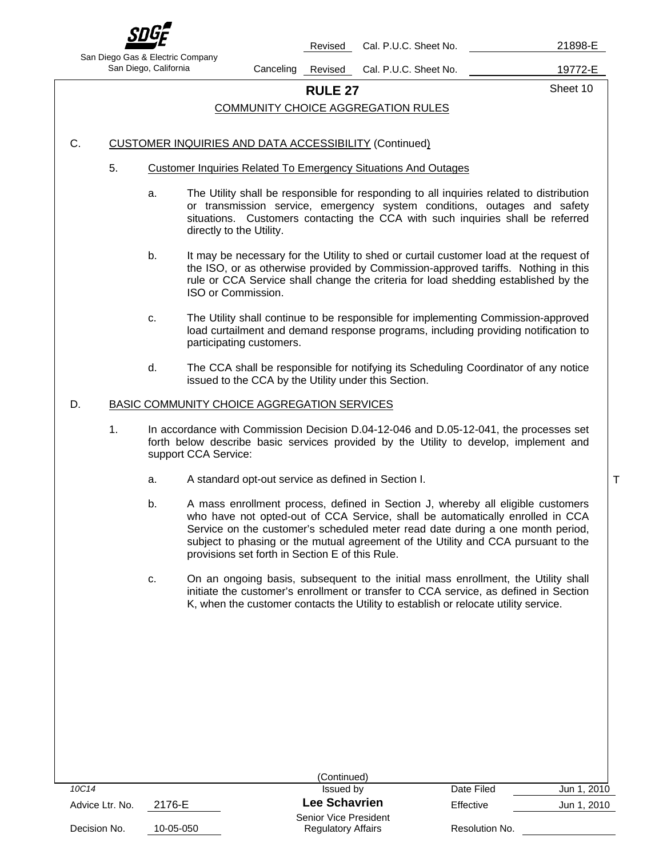

Revised Cal. P.U.C. Sheet No. 21898-E

San Diego Gas & Electric Company

San Diego, California Canceling Revised Cal. P.U.C. Sheet No. 19772-E

T

**RULE 27** Sheet 10

### COMMUNITY CHOICE AGGREGATION RULES

### C. CUSTOMER INQUIRIES AND DATA ACCESSIBILITY (Continued)

- 5. Customer Inquiries Related To Emergency Situations And Outages
	- a. The Utility shall be responsible for responding to all inquiries related to distribution or transmission service, emergency system conditions, outages and safety situations. Customers contacting the CCA with such inquiries shall be referred directly to the Utility.
	- b. It may be necessary for the Utility to shed or curtail customer load at the request of the ISO, or as otherwise provided by Commission-approved tariffs. Nothing in this rule or CCA Service shall change the criteria for load shedding established by the ISO or Commission.
	- c. The Utility shall continue to be responsible for implementing Commission-approved load curtailment and demand response programs, including providing notification to participating customers.
	- d. The CCA shall be responsible for notifying its Scheduling Coordinator of any notice issued to the CCA by the Utility under this Section.

### D. BASIC COMMUNITY CHOICE AGGREGATION SERVICES

- 1. In accordance with Commission Decision D.04-12-046 and D.05-12-041, the processes set forth below describe basic services provided by the Utility to develop, implement and support CCA Service:
	- a. A standard opt-out service as defined in Section I.
	- b. A mass enrollment process, defined in Section J, whereby all eligible customers who have not opted-out of CCA Service, shall be automatically enrolled in CCA Service on the customer's scheduled meter read date during a one month period, subject to phasing or the mutual agreement of the Utility and CCA pursuant to the provisions set forth in Section E of this Rule.
	- c. On an ongoing basis, subsequent to the initial mass enrollment, the Utility shall initiate the customer's enrollment or transfer to CCA service, as defined in Section K, when the customer contacts the Utility to establish or relocate utility service.

|                 |           | (Continued)                                        |                |             |
|-----------------|-----------|----------------------------------------------------|----------------|-------------|
| 10C14           |           | Issued by                                          | Date Filed     | Jun 1, 2010 |
| Advice Ltr. No. | 2176-E    | <b>Lee Schavrien</b>                               | Effective      | Jun 1, 2010 |
| Decision No.    | 10-05-050 | Senior Vice President<br><b>Regulatory Affairs</b> | Resolution No. |             |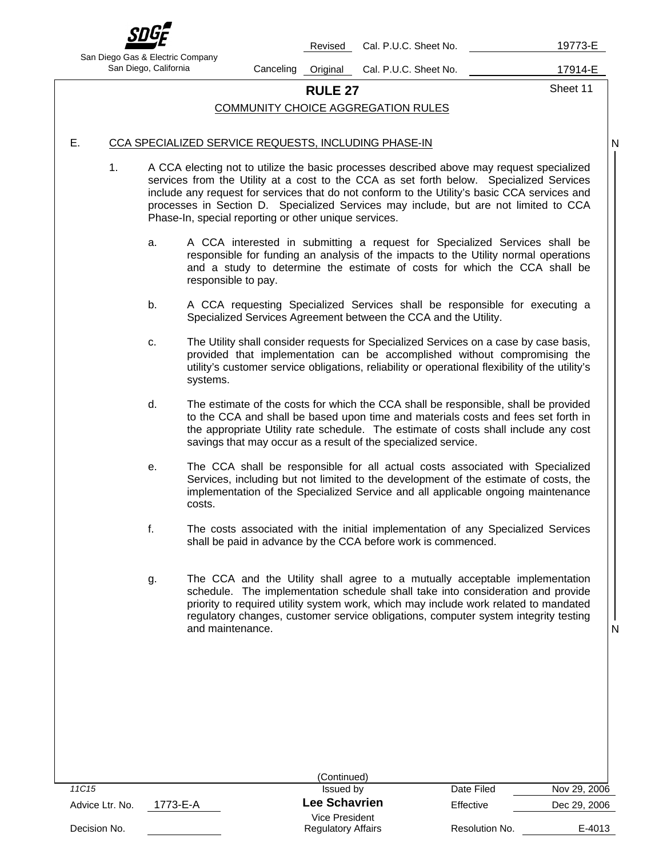

Revised Cal. P.U.C. Sheet No. 19773-E

San Diego Gas & Electric Company

San Diego, California **Canceling Original Cal. P.U.C. Sheet No.** 17914-E

**RULE 27** Sheet 11

# COMMUNITY CHOICE AGGREGATION RULES

N

### E. CCA SPECIALIZED SERVICE REQUESTS, INCLUDING PHASE-IN

- 1. A CCA electing not to utilize the basic processes described above may request specialized services from the Utility at a cost to the CCA as set forth below. Specialized Services include any request for services that do not conform to the Utility's basic CCA services and processes in Section D. Specialized Services may include, but are not limited to CCA Phase-In, special reporting or other unique services.
	- a. A CCA interested in submitting a request for Specialized Services shall be responsible for funding an analysis of the impacts to the Utility normal operations and a study to determine the estimate of costs for which the CCA shall be responsible to pay.
	- b. A CCA requesting Specialized Services shall be responsible for executing a Specialized Services Agreement between the CCA and the Utility.
	- c. The Utility shall consider requests for Specialized Services on a case by case basis, provided that implementation can be accomplished without compromising the utility's customer service obligations, reliability or operational flexibility of the utility's systems.
	- d. The estimate of the costs for which the CCA shall be responsible, shall be provided to the CCA and shall be based upon time and materials costs and fees set forth in the appropriate Utility rate schedule. The estimate of costs shall include any cost savings that may occur as a result of the specialized service.
	- e. The CCA shall be responsible for all actual costs associated with Specialized Services, including but not limited to the development of the estimate of costs, the implementation of the Specialized Service and all applicable ongoing maintenance costs.
	- f. The costs associated with the initial implementation of any Specialized Services shall be paid in advance by the CCA before work is commenced.
	- g. The CCA and the Utility shall agree to a mutually acceptable implementation schedule. The implementation schedule shall take into consideration and provide priority to required utility system work, which may include work related to mandated regulatory changes, customer service obligations, computer system integrity testing and maintenance.

|                             | (Continued)                                 |                |              |
|-----------------------------|---------------------------------------------|----------------|--------------|
| 11C15                       | Issued by                                   | Date Filed     | Nov 29, 2006 |
| 1773-E-A<br>Advice Ltr. No. | <b>Lee Schavrien</b>                        | Effective      | Dec 29, 2006 |
| Decision No.                | Vice President<br><b>Regulatory Affairs</b> | Resolution No. | E-4013       |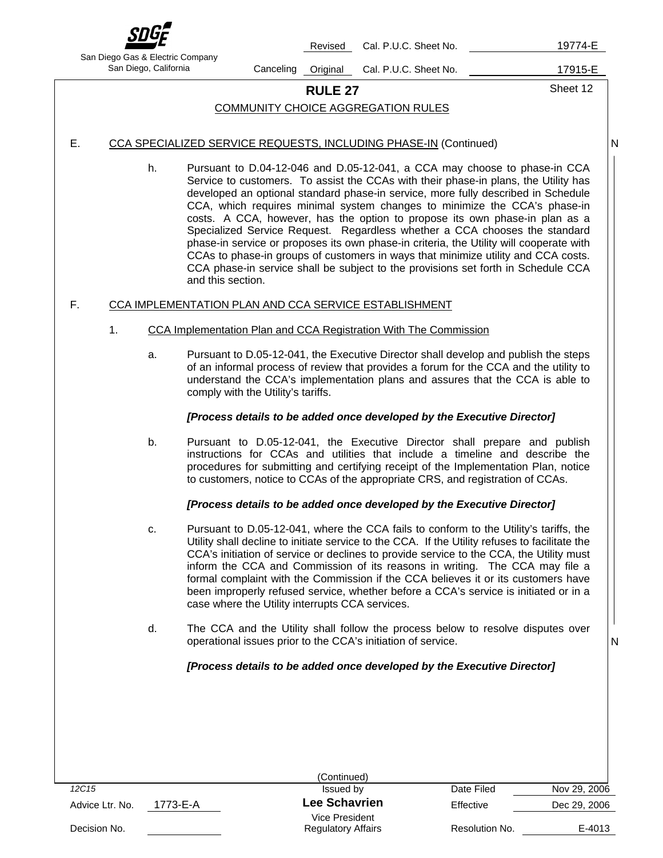

Revised Cal. P.U.C. Sheet No. 19774-E

San Diego Gas & Electric Company

San Diego, California Canceling Original Cal. P.U.C. Sheet No. 17915-E

N

# **RULE 27** Sheet 12

### COMMUNITY CHOICE AGGREGATION RULES

### E. CCA SPECIALIZED SERVICE REQUESTS, INCLUDING PHASE-IN (Continued)

h. Pursuant to D.04-12-046 and D.05-12-041, a CCA may choose to phase-in CCA Service to customers. To assist the CCAs with their phase-in plans, the Utility has developed an optional standard phase-in service, more fully described in Schedule CCA, which requires minimal system changes to minimize the CCA's phase-in costs. A CCA, however, has the option to propose its own phase-in plan as a Specialized Service Request. Regardless whether a CCA chooses the standard phase-in service or proposes its own phase-in criteria, the Utility will cooperate with CCAs to phase-in groups of customers in ways that minimize utility and CCA costs. CCA phase-in service shall be subject to the provisions set forth in Schedule CCA and this section.

### F. CCA IMPLEMENTATION PLAN AND CCA SERVICE ESTABLISHMENT

- 1. CCA Implementation Plan and CCA Registration With The Commission
	- a. Pursuant to D.05-12-041, the Executive Director shall develop and publish the steps of an informal process of review that provides a forum for the CCA and the utility to understand the CCA's implementation plans and assures that the CCA is able to comply with the Utility's tariffs.

### *[Process details to be added once developed by the Executive Director]*

b. Pursuant to D.05-12-041, the Executive Director shall prepare and publish instructions for CCAs and utilities that include a timeline and describe the procedures for submitting and certifying receipt of the Implementation Plan, notice to customers, notice to CCAs of the appropriate CRS, and registration of CCAs.

### *[Process details to be added once developed by the Executive Director]*

- c. Pursuant to D.05-12-041, where the CCA fails to conform to the Utility's tariffs, the Utility shall decline to initiate service to the CCA. If the Utility refuses to facilitate the CCA's initiation of service or declines to provide service to the CCA, the Utility must inform the CCA and Commission of its reasons in writing. The CCA may file a formal complaint with the Commission if the CCA believes it or its customers have been improperly refused service, whether before a CCA's service is initiated or in a case where the Utility interrupts CCA services.
- d. The CCA and the Utility shall follow the process below to resolve disputes over operational issues prior to the CCA's initiation of service.

### *[Process details to be added once developed by the Executive Director]*

|                 |          | (Continued)                                 |                |              |
|-----------------|----------|---------------------------------------------|----------------|--------------|
| 12C15           |          | Issued by                                   | Date Filed     | Nov 29, 2006 |
| Advice Ltr. No. | 1773-E-A | <b>Lee Schavrien</b>                        | Effective      | Dec 29, 2006 |
| Decision No.    |          | Vice President<br><b>Regulatory Affairs</b> | Resolution No. | E-4013       |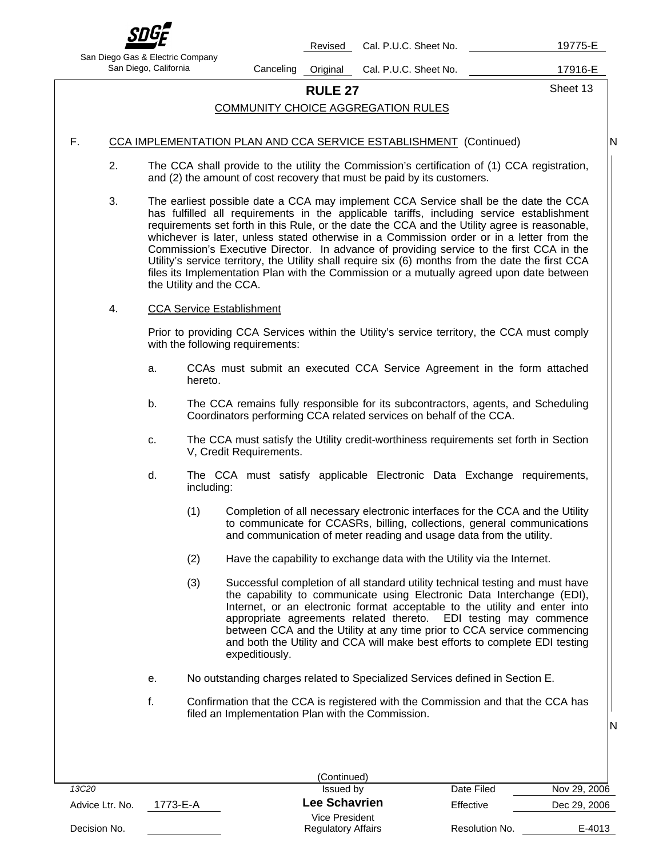

Revised Cal. P.U.C. Sheet No. 19775-E

San Diego Gas & Electric Company

San Diego, California Canceling Original Cal. P.U.C. Sheet No. 17916-E

**RULE 27** Sheet 13

N

N

### COMMUNITY CHOICE AGGREGATION RULES

### F. CCA IMPLEMENTATION PLAN AND CCA SERVICE ESTABLISHMENT (Continued)

- 2. The CCA shall provide to the utility the Commission's certification of (1) CCA registration, and (2) the amount of cost recovery that must be paid by its customers.
- 3. The earliest possible date a CCA may implement CCA Service shall be the date the CCA has fulfilled all requirements in the applicable tariffs, including service establishment requirements set forth in this Rule, or the date the CCA and the Utility agree is reasonable, whichever is later, unless stated otherwise in a Commission order or in a letter from the Commission's Executive Director. In advance of providing service to the first CCA in the Utility's service territory, the Utility shall require six (6) months from the date the first CCA files its Implementation Plan with the Commission or a mutually agreed upon date between the Utility and the CCA.

### 4. CCA Service Establishment

Prior to providing CCA Services within the Utility's service territory, the CCA must comply with the following requirements:

- a. CCAs must submit an executed CCA Service Agreement in the form attached hereto.
- b. The CCA remains fully responsible for its subcontractors, agents, and Scheduling Coordinators performing CCA related services on behalf of the CCA.
- c. The CCA must satisfy the Utility credit-worthiness requirements set forth in Section V, Credit Requirements.
- d. The CCA must satisfy applicable Electronic Data Exchange requirements, including:
	- (1) Completion of all necessary electronic interfaces for the CCA and the Utility to communicate for CCASRs, billing, collections, general communications and communication of meter reading and usage data from the utility.
	- (2) Have the capability to exchange data with the Utility via the Internet.
	- (3) Successful completion of all standard utility technical testing and must have the capability to communicate using Electronic Data Interchange (EDI), Internet, or an electronic format acceptable to the utility and enter into appropriate agreements related thereto. EDI testing may commence between CCA and the Utility at any time prior to CCA service commencing and both the Utility and CCA will make best efforts to complete EDI testing expeditiously.
- e. No outstanding charges related to Specialized Services defined in Section E.
- f. Confirmation that the CCA is registered with the Commission and that the CCA has filed an Implementation Plan with the Commission.

|                   |          | (Continued)                                 |                |              |
|-------------------|----------|---------------------------------------------|----------------|--------------|
| 13C <sub>20</sub> |          | Issued by                                   | Date Filed     | Nov 29, 2006 |
| Advice Ltr. No.   | 1773-E-A | <b>Lee Schavrien</b>                        | Effective      | Dec 29, 2006 |
| Decision No.      |          | Vice President<br><b>Regulatory Affairs</b> | Resolution No. | E-4013       |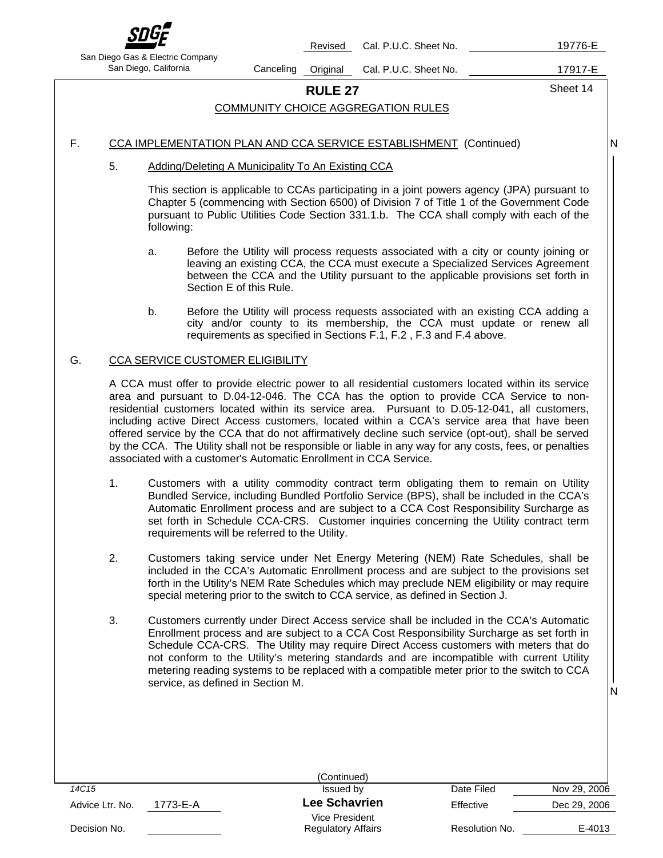

Revised Cal. P.U.C. Sheet No. 19776-E

San Diego Gas & Electric Company

San Diego, California **Canceling Original Cal. P.U.C. Sheet No.** 17917-E

**RULE 27** Sheet 14

N

### COMMUNITY CHOICE AGGREGATION RULES

### F. CCA IMPLEMENTATION PLAN AND CCA SERVICE ESTABLISHMENT (Continued)

### 5. Adding/Deleting A Municipality To An Existing CCA

This section is applicable to CCAs participating in a joint powers agency (JPA) pursuant to Chapter 5 (commencing with Section 6500) of Division 7 of Title 1 of the Government Code pursuant to Public Utilities Code Section 331.1.b. The CCA shall comply with each of the following:

- a. Before the Utility will process requests associated with a city or county joining or leaving an existing CCA, the CCA must execute a Specialized Services Agreement between the CCA and the Utility pursuant to the applicable provisions set forth in Section E of this Rule.
- b. Before the Utility will process requests associated with an existing CCA adding a city and/or county to its membership, the CCA must update or renew all requirements as specified in Sections F.1, F.2 , F.3 and F.4 above.

### G. CCA SERVICE CUSTOMER ELIGIBILITY

A CCA must offer to provide electric power to all residential customers located within its service area and pursuant to D.04-12-046. The CCA has the option to provide CCA Service to nonresidential customers located within its service area. Pursuant to D.05-12-041, all customers, including active Direct Access customers, located within a CCA's service area that have been offered service by the CCA that do not affirmatively decline such service (opt-out), shall be served by the CCA. The Utility shall not be responsible or liable in any way for any costs, fees, or penalties associated with a customer's Automatic Enrollment in CCA Service.

- 1. Customers with a utility commodity contract term obligating them to remain on Utility Bundled Service, including Bundled Portfolio Service (BPS), shall be included in the CCA's Automatic Enrollment process and are subject to a CCA Cost Responsibility Surcharge as set forth in Schedule CCA-CRS. Customer inquiries concerning the Utility contract term requirements will be referred to the Utility.
- 2. Customers taking service under Net Energy Metering (NEM) Rate Schedules, shall be included in the CCA's Automatic Enrollment process and are subject to the provisions set forth in the Utility's NEM Rate Schedules which may preclude NEM eligibility or may require special metering prior to the switch to CCA service, as defined in Section J.
- 3. Customers currently under Direct Access service shall be included in the CCA's Automatic Enrollment process and are subject to a CCA Cost Responsibility Surcharge as set forth in Schedule CCA-CRS. The Utility may require Direct Access customers with meters that do not conform to the Utility's metering standards and are incompatible with current Utility metering reading systems to be replaced with a compatible meter prior to the switch to CCA service, as defined in Section M.

|                             | (Continued)                                 |                |              |
|-----------------------------|---------------------------------------------|----------------|--------------|
| 14C15                       | Issued by                                   | Date Filed     | Nov 29, 2006 |
| 1773-E-A<br>Advice Ltr. No. | <b>Lee Schavrien</b>                        | Effective      | Dec 29, 2006 |
| Decision No.                | Vice President<br><b>Regulatory Affairs</b> | Resolution No. | E-4013       |
|                             |                                             |                |              |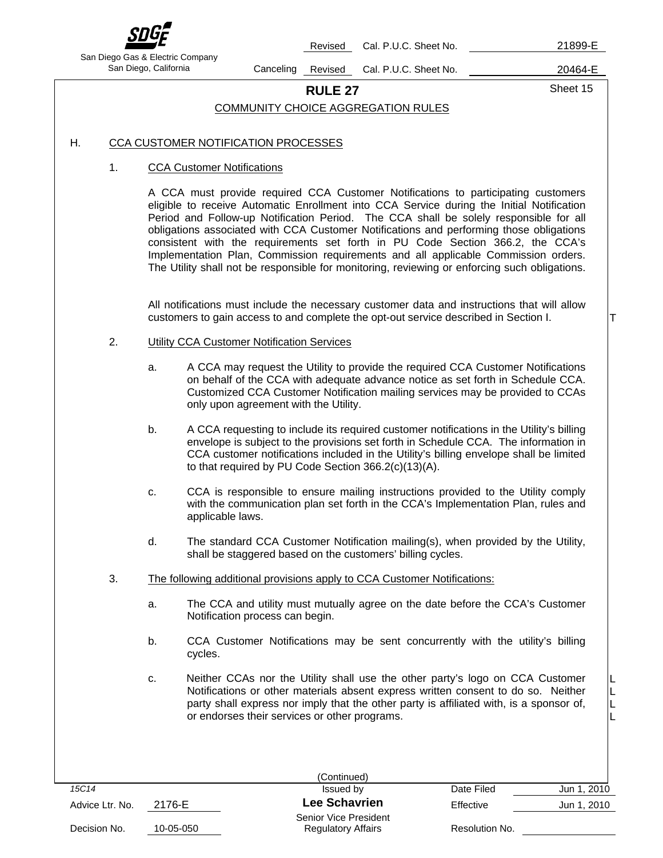

Revised Cal. P.U.C. Sheet No. 21899-E

T

 L L L L

San Diego Gas & Electric Company

San Diego, California Canceling Revised Cal. P.U.C. Sheet No. 20464-E

**RULE 27** Sheet 15

# COMMUNITY CHOICE AGGREGATION RULES

# H. CCA CUSTOMER NOTIFICATION PROCESSES

### 1. CCA Customer Notifications

A CCA must provide required CCA Customer Notifications to participating customers eligible to receive Automatic Enrollment into CCA Service during the Initial Notification Period and Follow-up Notification Period. The CCA shall be solely responsible for all obligations associated with CCA Customer Notifications and performing those obligations consistent with the requirements set forth in PU Code Section 366.2, the CCA's Implementation Plan, Commission requirements and all applicable Commission orders. The Utility shall not be responsible for monitoring, reviewing or enforcing such obligations.

All notifications must include the necessary customer data and instructions that will allow customers to gain access to and complete the opt-out service described in Section I.

### 2. Utility CCA Customer Notification Services

- a. A CCA may request the Utility to provide the required CCA Customer Notifications on behalf of the CCA with adequate advance notice as set forth in Schedule CCA. Customized CCA Customer Notification mailing services may be provided to CCAs only upon agreement with the Utility.
- b. A CCA requesting to include its required customer notifications in the Utility's billing envelope is subject to the provisions set forth in Schedule CCA. The information in CCA customer notifications included in the Utility's billing envelope shall be limited to that required by PU Code Section 366.2(c)(13)(A).
- c. CCA is responsible to ensure mailing instructions provided to the Utility comply with the communication plan set forth in the CCA's Implementation Plan, rules and applicable laws.
- d. The standard CCA Customer Notification mailing(s), when provided by the Utility, shall be staggered based on the customers' billing cycles.
- 3. The following additional provisions apply to CCA Customer Notifications:
	- a. The CCA and utility must mutually agree on the date before the CCA's Customer Notification process can begin.
	- b. CCA Customer Notifications may be sent concurrently with the utility's billing cycles.
	- c. Neither CCAs nor the Utility shall use the other party's logo on CCA Customer Notifications or other materials absent express written consent to do so. Neither party shall express nor imply that the other party is affiliated with, is a sponsor of, or endorses their services or other programs.

|                 |           | (Continued)                                               |                |             |
|-----------------|-----------|-----------------------------------------------------------|----------------|-------------|
| 15C14           |           | Issued by                                                 | Date Filed     | Jun 1, 2010 |
| Advice Ltr. No. | 2176-E    | <b>Lee Schavrien</b>                                      | Effective      | Jun 1, 2010 |
| Decision No.    | 10-05-050 | <b>Senior Vice President</b><br><b>Regulatory Affairs</b> | Resolution No. |             |
|                 |           |                                                           |                |             |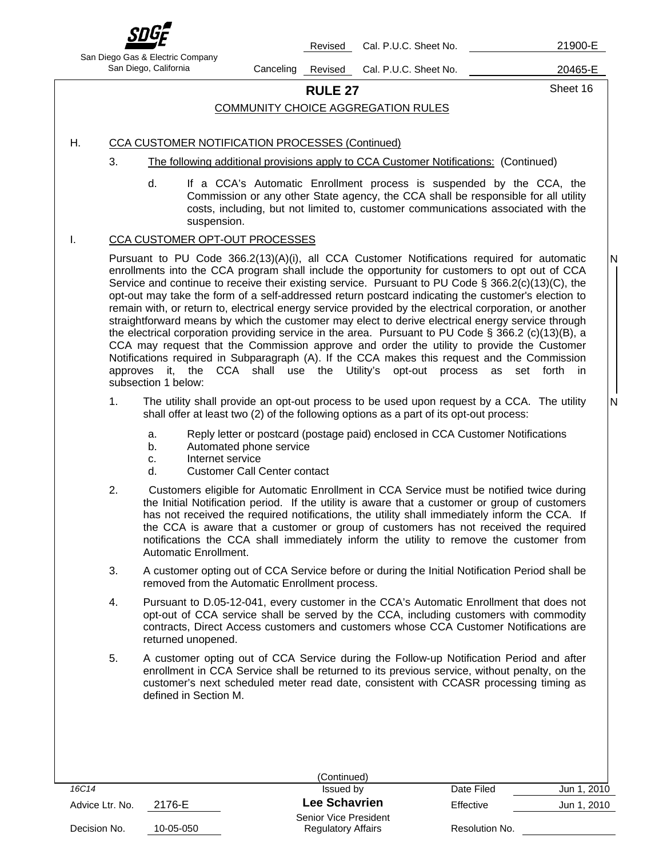

Revised Cal. P.U.C. Sheet No. 21900-E

San Diego Gas & Electric Company

San Diego, California Canceling Revised Cal. P.U.C. Sheet No. 20465-E

# **RULE 27** Sheet 16

### COMMUNITY CHOICE AGGREGATION RULES

### H. CCA CUSTOMER NOTIFICATION PROCESSES (Continued)

- 3. The following additional provisions apply to CCA Customer Notifications: (Continued)
	- d. If a CCA's Automatic Enrollment process is suspended by the CCA, the Commission or any other State agency, the CCA shall be responsible for all utility costs, including, but not limited to, customer communications associated with the suspension.

### I. CCA CUSTOMER OPT-OUT PROCESSES

Pursuant to PU Code 366.2(13)(A)(i), all CCA Customer Notifications required for automatic enrollments into the CCA program shall include the opportunity for customers to opt out of CCA Service and continue to receive their existing service. Pursuant to PU Code § 366.2(c)(13)(C), the opt-out may take the form of a self-addressed return postcard indicating the customer's election to remain with, or return to, electrical energy service provided by the electrical corporation, or another straightforward means by which the customer may elect to derive electrical energy service through the electrical corporation providing service in the area. Pursuant to PU Code § 366.2 (c)(13)(B), a CCA may request that the Commission approve and order the utility to provide the Customer Notifications required in Subparagraph (A). If the CCA makes this request and the Commission approves it, the CCA shall use the Utility's opt-out process as set forth in subsection 1 below:

- 1. The utility shall provide an opt-out process to be used upon request by a CCA. The utility shall offer at least two (2) of the following options as a part of its opt-out process:
	- a. Reply letter or postcard (postage paid) enclosed in CCA Customer Notifications
	- b. Automated phone service
	- c. Internet service
	- d. Customer Call Center contact
- 2. Customers eligible for Automatic Enrollment in CCA Service must be notified twice during the Initial Notification period. If the utility is aware that a customer or group of customers has not received the required notifications, the utility shall immediately inform the CCA. If the CCA is aware that a customer or group of customers has not received the required notifications the CCA shall immediately inform the utility to remove the customer from Automatic Enrollment.
- 3. A customer opting out of CCA Service before or during the Initial Notification Period shall be removed from the Automatic Enrollment process.
- 4. Pursuant to D.05-12-041, every customer in the CCA's Automatic Enrollment that does not opt-out of CCA service shall be served by the CCA, including customers with commodity contracts, Direct Access customers and customers whose CCA Customer Notifications are returned unopened.
- 5. A customer opting out of CCA Service during the Follow-up Notification Period and after enrollment in CCA Service shall be returned to its previous service, without penalty, on the customer's next scheduled meter read date, consistent with CCASR processing timing as defined in Section M.

|                 |           | (Continued)                                        |                |             |
|-----------------|-----------|----------------------------------------------------|----------------|-------------|
| 16C14           |           | Issued by                                          | Date Filed     | Jun 1, 2010 |
| Advice Ltr. No. | 2176-E    | <b>Lee Schavrien</b>                               | Effective      | Jun 1, 2010 |
| Decision No.    | 10-05-050 | Senior Vice President<br><b>Regulatory Affairs</b> | Resolution No. |             |
|                 |           |                                                    |                |             |

N

 N I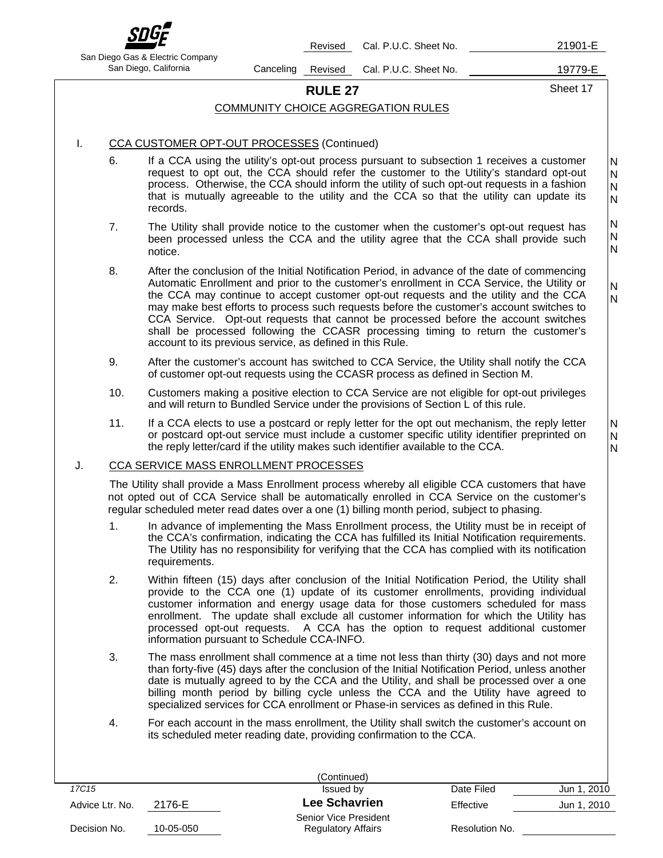

Revised Cal. P.U.C. Sheet No. 21901-E

San Diego Gas & Electric Company

San Diego, California Canceling Revised Cal. P.U.C. Sheet No. 19779-E

### **RULE 27** Sheet 17

 N N N

### COMMUNITY CHOICE AGGREGATION RULES

### I. CCA CUSTOMER OPT-OUT PROCESSES (Continued)

- 6. If a CCA using the utility's opt-out process pursuant to subsection 1 receives a customer request to opt out, the CCA should refer the customer to the Utility's standard opt-out process. Otherwise, the CCA should inform the utility of such opt-out requests in a fashion that is mutually agreeable to the utility and the CCA so that the utility can update its records. N N N N
- 7. The Utility shall provide notice to the customer when the customer's opt-out request has been processed unless the CCA and the utility agree that the CCA shall provide such notice. N N N
- 8. After the conclusion of the Initial Notification Period, in advance of the date of commencing Automatic Enrollment and prior to the customer's enrollment in CCA Service, the Utility or the CCA may continue to accept customer opt-out requests and the utility and the CCA may make best efforts to process such requests before the customer's account switches to CCA Service. Opt-out requests that cannot be processed before the account switches shall be processed following the CCASR processing timing to return the customer's account to its previous service, as defined in this Rule. N N
- 9. After the customer's account has switched to CCA Service, the Utility shall notify the CCA of customer opt-out requests using the CCASR process as defined in Section M.
- 10. Customers making a positive election to CCA Service are not eligible for opt-out privileges and will return to Bundled Service under the provisions of Section L of this rule.
- 11. If a CCA elects to use a postcard or reply letter for the opt out mechanism, the reply letter or postcard opt-out service must include a customer specific utility identifier preprinted on the reply letter/card if the utility makes such identifier available to the CCA.

### J. CCA SERVICE MASS ENROLLMENT PROCESSES

The Utility shall provide a Mass Enrollment process whereby all eligible CCA customers that have not opted out of CCA Service shall be automatically enrolled in CCA Service on the customer's regular scheduled meter read dates over a one (1) billing month period, subject to phasing.

- 1. In advance of implementing the Mass Enrollment process, the Utility must be in receipt of the CCA's confirmation, indicating the CCA has fulfilled its Initial Notification requirements. The Utility has no responsibility for verifying that the CCA has complied with its notification requirements.
- 2. Within fifteen (15) days after conclusion of the Initial Notification Period, the Utility shall provide to the CCA one (1) update of its customer enrollments, providing individual customer information and energy usage data for those customers scheduled for mass enrollment. The update shall exclude all customer information for which the Utility has processed opt-out requests. A CCA has the option to request additional customer information pursuant to Schedule CCA-INFO.
- 3. The mass enrollment shall commence at a time not less than thirty (30) days and not more than forty-five (45) days after the conclusion of the Initial Notification Period, unless another date is mutually agreed to by the CCA and the Utility, and shall be processed over a one billing month period by billing cycle unless the CCA and the Utility have agreed to specialized services for CCA enrollment or Phase-in services as defined in this Rule.
- 4. For each account in the mass enrollment, the Utility shall switch the customer's account on its scheduled meter reading date, providing confirmation to the CCA.

|                 |           | (Continued)                                        |                |             |
|-----------------|-----------|----------------------------------------------------|----------------|-------------|
| 17C15           |           | Issued by                                          | Date Filed     | Jun 1, 2010 |
| Advice Ltr. No. | 2176-E    | <b>Lee Schavrien</b>                               | Effective      | Jun 1, 2010 |
| Decision No.    | 10-05-050 | Senior Vice President<br><b>Regulatory Affairs</b> | Resolution No. |             |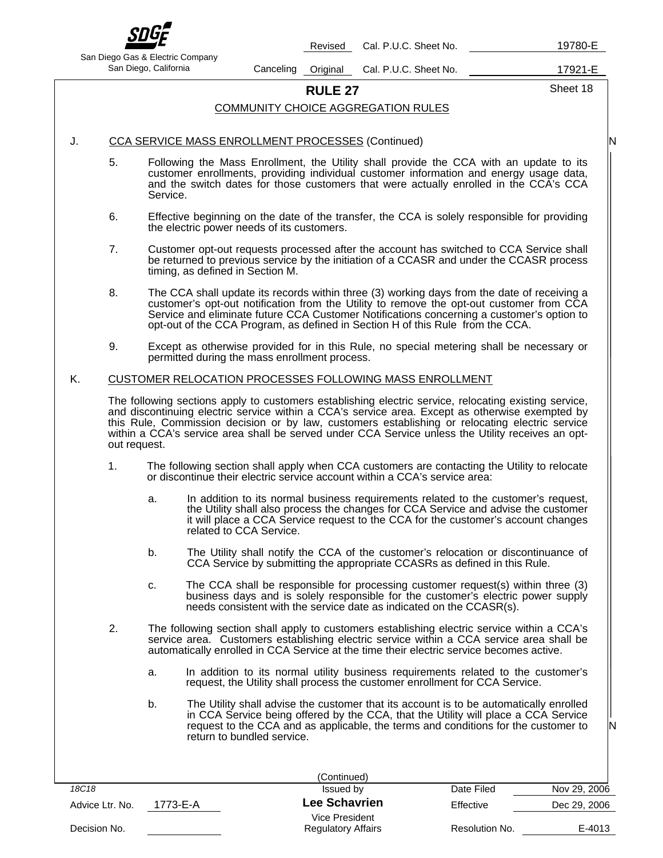

Revised Cal. P.U.C. Sheet No. 19780-E

San Diego Gas & Electric Company

San Diego, California **Canceling Original Cal. P.U.C. Sheet No.** 17921-E

**RULE 27** Sheet 18

N

N

### COMMUNITY CHOICE AGGREGATION RULES

### J. CCA SERVICE MASS ENROLLMENT PROCESSES (Continued)

- 5. Following the Mass Enrollment, the Utility shall provide the CCA with an update to its customer enrollments, providing individual customer information and energy usage data, and the switch dates for those customers that were actually enrolled in the CCA's CCA Service.
- 6. Effective beginning on the date of the transfer, the CCA is solely responsible for providing the electric power needs of its customers.
- 7. Customer opt-out requests processed after the account has switched to CCA Service shall be returned to previous service by the initiation of a CCASR and under the CCASR process timing, as defined in Section M.
- 8. The CCA shall update its records within three (3) working days from the date of receiving a customer's opt-out notification from the Utility to remove the opt-out customer from CCA Service and eliminate future CCA Customer Notifications concerning a customer's option to opt-out of the CCA Program, as defined in Section H of this Rule from the CCA.
- 9. Except as otherwise provided for in this Rule, no special metering shall be necessary or permitted during the mass enrollment process.

### K. CUSTOMER RELOCATION PROCESSES FOLLOWING MASS ENROLLMENT

The following sections apply to customers establishing electric service, relocating existing service, and discontinuing electric service within a CCA's service area. Except as otherwise exempted by this Rule, Commission decision or by law, customers establishing or relocating electric service within a CCA's service area shall be served under CCA Service unless the Utility receives an optout request.

- 1. The following section shall apply when CCA customers are contacting the Utility to relocate or discontinue their electric service account within a CCA's service area:
	- a. In addition to its normal business requirements related to the customer's request, the Utility shall also process the changes for CCA Service and advise the customer it will place a CCA Service request to the CCA for the customer's account changes related to CCA Service.
	- b. The Utility shall notify the CCA of the customer's relocation or discontinuance of CCA Service by submitting the appropriate CCASRs as defined in this Rule.
	- c. The CCA shall be responsible for processing customer request(s) within three (3) business days and is solely responsible for the customer's electric power supply needs consistent with the service date as indicated on the CCASR(s).
- 2. The following section shall apply to customers establishing electric service within a CCA's service area. Customers establishing electric service within a CCA service area shall be automatically enrolled in CCA Service at the time their electric service becomes active.
	- a. In addition to its normal utility business requirements related to the customer's request, the Utility shall process the customer enrollment for CCA Service.
	- b. The Utility shall advise the customer that its account is to be automatically enrolled in CCA Service being offered by the CCA, that the Utility will place a CCA Service request to the CCA and as applicable, the terms and conditions for the customer to return to bundled service.

|                 |          | (Continued)               |                |              |
|-----------------|----------|---------------------------|----------------|--------------|
| 18C18           |          | Issued by                 | Date Filed     | Nov 29, 2006 |
| Advice Ltr. No. | 1773-E-A | <b>Lee Schavrien</b>      | Effective      | Dec 29, 2006 |
|                 |          | Vice President            |                |              |
| Decision No.    |          | <b>Regulatory Affairs</b> | Resolution No. | E-4013       |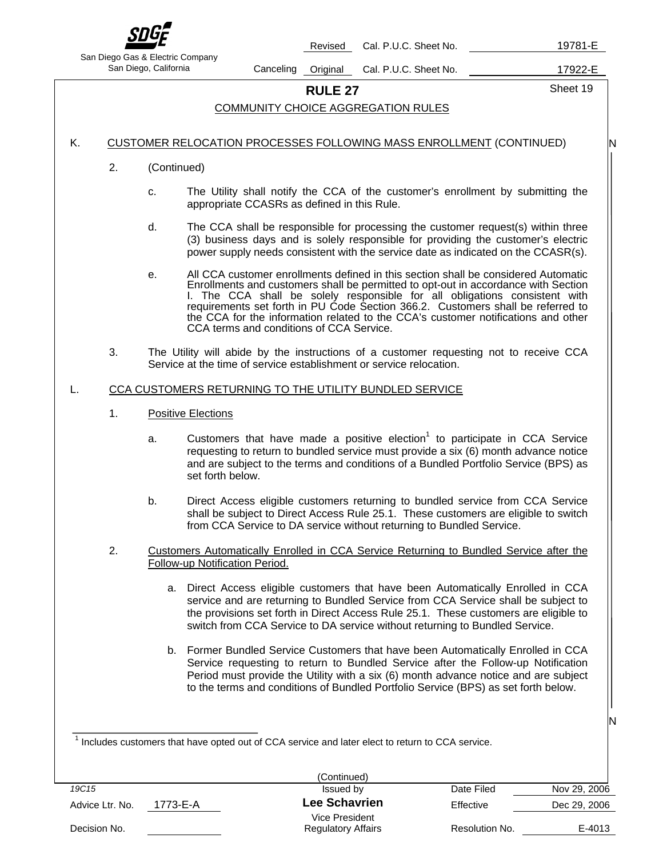

Revised Cal. P.U.C. Sheet No. 19781-E

San Diego Gas & Electric Company

San Diego, California Canceling Original Cal. P.U.C. Sheet No. 17922-E

**RULE 27** Sheet 19

N

N

### COMMUNITY CHOICE AGGREGATION RULES

### K. CUSTOMER RELOCATION PROCESSES FOLLOWING MASS ENROLLMENT (CONTINUED)

- 2. (Continued)
	- c. The Utility shall notify the CCA of the customer's enrollment by submitting the appropriate CCASRs as defined in this Rule.
	- d. The CCA shall be responsible for processing the customer request(s) within three (3) business days and is solely responsible for providing the customer's electric power supply needs consistent with the service date as indicated on the CCASR(s).
	- e. All CCA customer enrollments defined in this section shall be considered Automatic Enrollments and customers shall be permitted to opt-out in accordance with Section I. The CCA shall be solely responsible for all obligations consistent with requirements set forth in PU Code Section 366.2. Customers shall be referred to the CCA for the information related to the CCA's customer notifications and other CCA terms and conditions of CCA Service.
- 3. The Utility will abide by the instructions of a customer requesting not to receive CCA Service at the time of service establishment or service relocation.

### L. CCA CUSTOMERS RETURNING TO THE UTILITY BUNDLED SERVICE

- 1. Positive Elections
	- a. Customers that have made a positive election<sup>1</sup> to participate in CCA Service requesting to return to bundled service must provide a six (6) month advance notice and are subject to the terms and conditions of a Bundled Portfolio Service (BPS) as set forth below.
	- b. Direct Access eligible customers returning to bundled service from CCA Service shall be subject to Direct Access Rule 25.1. These customers are eligible to switch from CCA Service to DA service without returning to Bundled Service.
- 2. Customers Automatically Enrolled in CCA Service Returning to Bundled Service after the Follow-up Notification Period.
	- a. Direct Access eligible customers that have been Automatically Enrolled in CCA service and are returning to Bundled Service from CCA Service shall be subject to the provisions set forth in Direct Access Rule 25.1. These customers are eligible to switch from CCA Service to DA service without returning to Bundled Service.
	- b. Former Bundled Service Customers that have been Automatically Enrolled in CCA Service requesting to return to Bundled Service after the Follow-up Notification Period must provide the Utility with a six (6) month advance notice and are subject to the terms and conditions of Bundled Portfolio Service (BPS) as set forth below.

 $1$  Includes customers that have opted out of CCA service and later elect to return to CCA service.

|                             | (Continued)               |                |              |
|-----------------------------|---------------------------|----------------|--------------|
| 19C15                       | Issued by                 | Date Filed     | Nov 29, 2006 |
| 1773-E-A<br>Advice Ltr. No. | <b>Lee Schavrien</b>      | Effective      | Dec 29, 2006 |
|                             | Vice President            |                |              |
| Decision No.                | <b>Regulatory Affairs</b> | Resolution No. | E-4013       |
|                             |                           |                |              |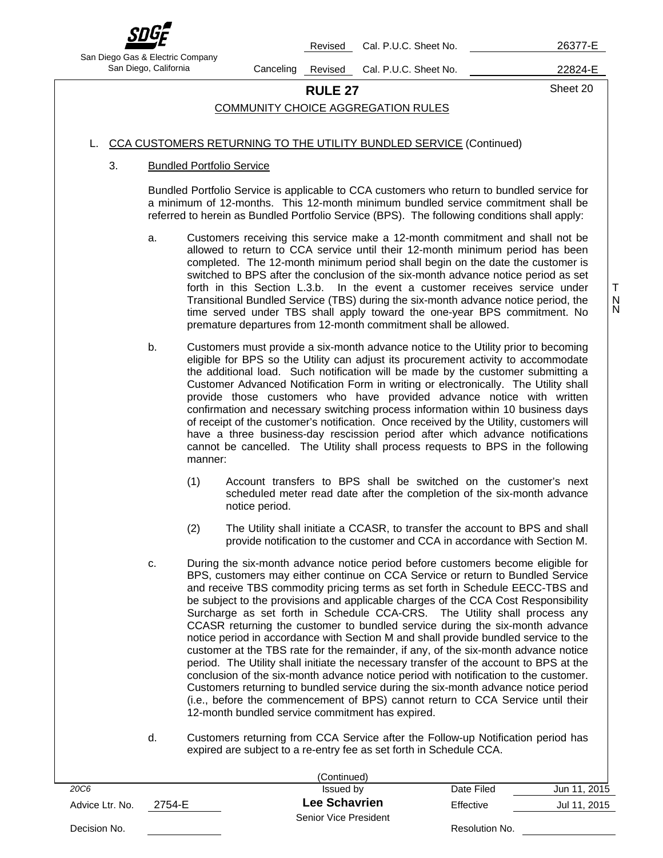

Revised Cal. P.U.C. Sheet No. 26377-E

San Diego Gas & Electric Company

San Diego, California Canceling Revised Cal. P.U.C. Sheet No. 22824-E

 T N N

# **RULE 27** Sheet 20

### COMMUNITY CHOICE AGGREGATION RULES

### L. CCA CUSTOMERS RETURNING TO THE UTILITY BUNDLED SERVICE (Continued)

### 3. Bundled Portfolio Service

Bundled Portfolio Service is applicable to CCA customers who return to bundled service for a minimum of 12-months. This 12-month minimum bundled service commitment shall be referred to herein as Bundled Portfolio Service (BPS). The following conditions shall apply:

- a. Customers receiving this service make a 12-month commitment and shall not be allowed to return to CCA service until their 12-month minimum period has been completed. The 12-month minimum period shall begin on the date the customer is switched to BPS after the conclusion of the six-month advance notice period as set forth in this Section L.3.b. In the event a customer receives service under Transitional Bundled Service (TBS) during the six-month advance notice period, the time served under TBS shall apply toward the one-year BPS commitment. No premature departures from 12-month commitment shall be allowed.
- b. Customers must provide a six-month advance notice to the Utility prior to becoming eligible for BPS so the Utility can adjust its procurement activity to accommodate the additional load. Such notification will be made by the customer submitting a Customer Advanced Notification Form in writing or electronically. The Utility shall provide those customers who have provided advance notice with written confirmation and necessary switching process information within 10 business days of receipt of the customer's notification. Once received by the Utility, customers will have a three business-day rescission period after which advance notifications cannot be cancelled. The Utility shall process requests to BPS in the following manner:
	- (1) Account transfers to BPS shall be switched on the customer's next scheduled meter read date after the completion of the six-month advance notice period.
	- (2) The Utility shall initiate a CCASR, to transfer the account to BPS and shall provide notification to the customer and CCA in accordance with Section M.
- c. During the six-month advance notice period before customers become eligible for BPS, customers may either continue on CCA Service or return to Bundled Service and receive TBS commodity pricing terms as set forth in Schedule EECC-TBS and be subject to the provisions and applicable charges of the CCA Cost Responsibility Surcharge as set forth in Schedule CCA-CRS. The Utility shall process any CCASR returning the customer to bundled service during the six-month advance notice period in accordance with Section M and shall provide bundled service to the customer at the TBS rate for the remainder, if any, of the six-month advance notice period. The Utility shall initiate the necessary transfer of the account to BPS at the conclusion of the six-month advance notice period with notification to the customer. Customers returning to bundled service during the six-month advance notice period (i.e., before the commencement of BPS) cannot return to CCA Service until their 12-month bundled service commitment has expired.
- d. Customers returning from CCA Service after the Follow-up Notification period has expired are subject to a re-entry fee as set forth in Schedule CCA.

|                 |        | (Continued)           |                |              |
|-----------------|--------|-----------------------|----------------|--------------|
| <b>20C6</b>     |        | Issued by             | Date Filed     | Jun 11, 2015 |
| Advice Ltr. No. | 2754-E | <b>Lee Schavrien</b>  | Effective      | Jul 11, 2015 |
|                 |        | Senior Vice President |                |              |
| Decision No.    |        |                       | Resolution No. |              |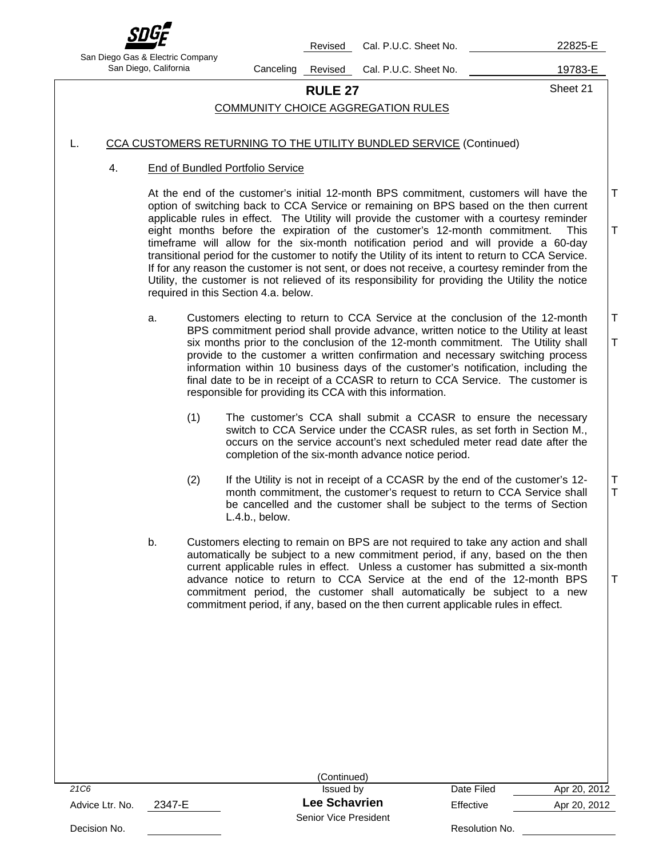

Revised Cal. P.U.C. Sheet No. 22825-E

San Diego Gas & Electric Company

San Diego, California Canceling Revised Cal. P.U.C. Sheet No. 19783-E

**RULE 27** Sheet 21

T

T

T

T

 T T

T

# COMMUNITY CHOICE AGGREGATION RULES

### L. CCA CUSTOMERS RETURNING TO THE UTILITY BUNDLED SERVICE (Continued)

### 4. End of Bundled Portfolio Service

 At the end of the customer's initial 12-month BPS commitment, customers will have the option of switching back to CCA Service or remaining on BPS based on the then current applicable rules in effect. The Utility will provide the customer with a courtesy reminder eight months before the expiration of the customer's 12-month commitment. This timeframe will allow for the six-month notification period and will provide a 60-day transitional period for the customer to notify the Utility of its intent to return to CCA Service. If for any reason the customer is not sent, or does not receive, a courtesy reminder from the Utility, the customer is not relieved of its responsibility for providing the Utility the notice required in this Section 4.a. below.

- a. Customers electing to return to CCA Service at the conclusion of the 12-month BPS commitment period shall provide advance, written notice to the Utility at least six months prior to the conclusion of the 12-month commitment. The Utility shall provide to the customer a written confirmation and necessary switching process information within 10 business days of the customer's notification, including the final date to be in receipt of a CCASR to return to CCA Service. The customer is responsible for providing its CCA with this information.
	- (1) The customer's CCA shall submit a CCASR to ensure the necessary switch to CCA Service under the CCASR rules, as set forth in Section M., occurs on the service account's next scheduled meter read date after the completion of the six-month advance notice period.
	- (2) If the Utility is not in receipt of a CCASR by the end of the customer's 12 month commitment, the customer's request to return to CCA Service shall be cancelled and the customer shall be subject to the terms of Section L.4.b., below.
- b. Customers electing to remain on BPS are not required to take any action and shall automatically be subject to a new commitment period, if any, based on the then current applicable rules in effect. Unless a customer has submitted a six-month advance notice to return to CCA Service at the end of the 12-month BPS commitment period, the customer shall automatically be subject to a new commitment period, if any, based on the then current applicable rules in effect.

|                           | (Continued)           |                |              |
|---------------------------|-----------------------|----------------|--------------|
| 21C <sub>6</sub>          | Issued by             | Date Filed     | Apr 20, 2012 |
| 2347-E<br>Advice Ltr. No. | <b>Lee Schavrien</b>  | Effective      | Apr 20, 2012 |
|                           | Senior Vice President |                |              |
| Decision No.              |                       | Resolution No. |              |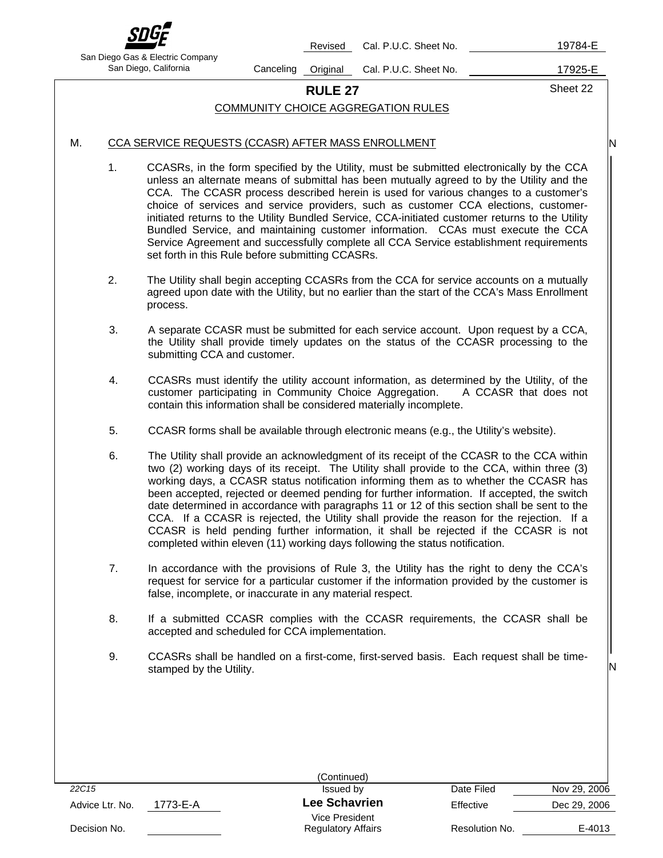

Revised Cal. P.U.C. Sheet No. 19784-E

San Diego Gas & Electric Company

San Diego, California Canceling Original Cal. P.U.C. Sheet No. 17925-E

**RULE 27** Sheet 22

N

N

## COMMUNITY CHOICE AGGREGATION RULES

### M. CCA SERVICE REQUESTS (CCASR) AFTER MASS ENROLLMENT

- 1. CCASRs, in the form specified by the Utility, must be submitted electronically by the CCA unless an alternate means of submittal has been mutually agreed to by the Utility and the CCA. The CCASR process described herein is used for various changes to a customer's choice of services and service providers, such as customer CCA elections, customerinitiated returns to the Utility Bundled Service, CCA-initiated customer returns to the Utility Bundled Service, and maintaining customer information. CCAs must execute the CCA Service Agreement and successfully complete all CCA Service establishment requirements set forth in this Rule before submitting CCASRs.
- 2. The Utility shall begin accepting CCASRs from the CCA for service accounts on a mutually agreed upon date with the Utility, but no earlier than the start of the CCA's Mass Enrollment process.
- 3. A separate CCASR must be submitted for each service account. Upon request by a CCA, the Utility shall provide timely updates on the status of the CCASR processing to the submitting CCA and customer.
- 4. CCASRs must identify the utility account information, as determined by the Utility, of the customer participating in Community Choice Aggregation. A CCASR that does not contain this information shall be considered materially incomplete.
- 5. CCASR forms shall be available through electronic means (e.g., the Utility's website).
- 6. The Utility shall provide an acknowledgment of its receipt of the CCASR to the CCA within two (2) working days of its receipt. The Utility shall provide to the CCA, within three (3) working days, a CCASR status notification informing them as to whether the CCASR has been accepted, rejected or deemed pending for further information. If accepted, the switch date determined in accordance with paragraphs 11 or 12 of this section shall be sent to the CCA. If a CCASR is rejected, the Utility shall provide the reason for the rejection. If a CCASR is held pending further information, it shall be rejected if the CCASR is not completed within eleven (11) working days following the status notification.
- 7. In accordance with the provisions of Rule 3, the Utility has the right to deny the CCA's request for service for a particular customer if the information provided by the customer is false, incomplete, or inaccurate in any material respect.
- 8. If a submitted CCASR complies with the CCASR requirements, the CCASR shall be accepted and scheduled for CCA implementation.
- 9. CCASRs shall be handled on a first-come, first-served basis. Each request shall be timestamped by the Utility.

|                 |          | (Continued)               |                |              |
|-----------------|----------|---------------------------|----------------|--------------|
| 22C15           |          | Issued by                 | Date Filed     | Nov 29, 2006 |
| Advice Ltr. No. | 1773-E-A | <b>Lee Schavrien</b>      | Effective      | Dec 29, 2006 |
|                 |          | Vice President            |                |              |
| Decision No.    |          | <b>Regulatory Affairs</b> | Resolution No. | E-4013       |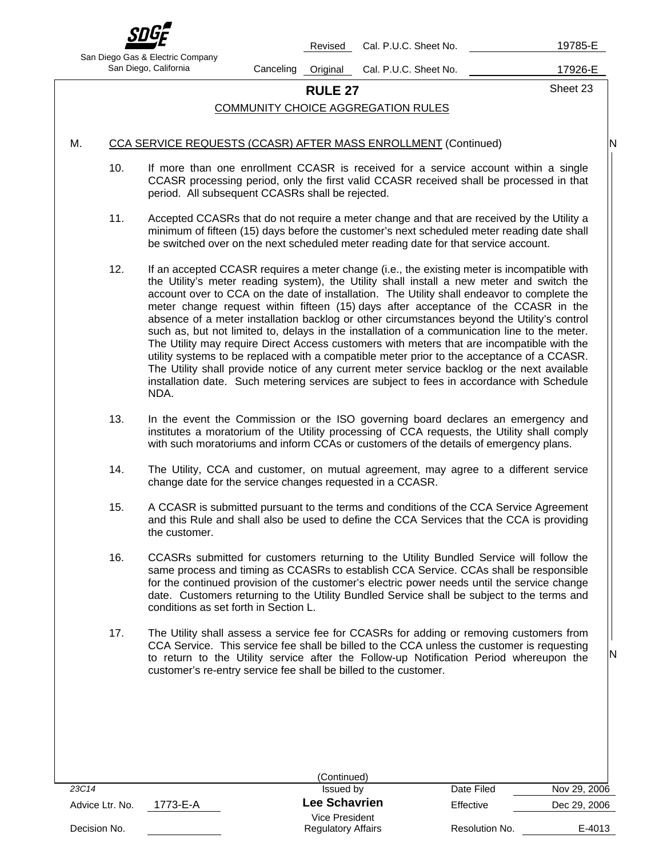

Revised Cal. P.U.C. Sheet No. 19785-E

San Diego Gas & Electric Company

San Diego, California Canceling Original Cal. P.U.C. Sheet No. 17926-E

**RULE 27** Sheet 23

N

N

## COMMUNITY CHOICE AGGREGATION RULES

### M. CCA SERVICE REQUESTS (CCASR) AFTER MASS ENROLLMENT (Continued)

- 10. If more than one enrollment CCASR is received for a service account within a single CCASR processing period, only the first valid CCASR received shall be processed in that period. All subsequent CCASRs shall be rejected.
- 11. Accepted CCASRs that do not require a meter change and that are received by the Utility a minimum of fifteen (15) days before the customer's next scheduled meter reading date shall be switched over on the next scheduled meter reading date for that service account.
- 12. If an accepted CCASR requires a meter change (i.e., the existing meter is incompatible with the Utility's meter reading system), the Utility shall install a new meter and switch the account over to CCA on the date of installation. The Utility shall endeavor to complete the meter change request within fifteen (15) days after acceptance of the CCASR in the absence of a meter installation backlog or other circumstances beyond the Utility's control such as, but not limited to, delays in the installation of a communication line to the meter. The Utility may require Direct Access customers with meters that are incompatible with the utility systems to be replaced with a compatible meter prior to the acceptance of a CCASR. The Utility shall provide notice of any current meter service backlog or the next available installation date. Such metering services are subject to fees in accordance with Schedule NDA.
- 13. In the event the Commission or the ISO governing board declares an emergency and institutes a moratorium of the Utility processing of CCA requests, the Utility shall comply with such moratoriums and inform CCAs or customers of the details of emergency plans.
- 14. The Utility, CCA and customer, on mutual agreement, may agree to a different service change date for the service changes requested in a CCASR.
- 15. A CCASR is submitted pursuant to the terms and conditions of the CCA Service Agreement and this Rule and shall also be used to define the CCA Services that the CCA is providing the customer.
- 16. CCASRs submitted for customers returning to the Utility Bundled Service will follow the same process and timing as CCASRs to establish CCA Service. CCAs shall be responsible for the continued provision of the customer's electric power needs until the service change date. Customers returning to the Utility Bundled Service shall be subject to the terms and conditions as set forth in Section L.
- 17. The Utility shall assess a service fee for CCASRs for adding or removing customers from CCA Service. This service fee shall be billed to the CCA unless the customer is requesting to return to the Utility service after the Follow-up Notification Period whereupon the customer's re-entry service fee shall be billed to the customer.

|                             | (Continued)                                 |                |              |
|-----------------------------|---------------------------------------------|----------------|--------------|
| 23C14                       | Issued by                                   | Date Filed     | Nov 29, 2006 |
| 1773-E-A<br>Advice Ltr. No. | <b>Lee Schavrien</b>                        | Effective      | Dec 29, 2006 |
| Decision No.                | Vice President<br><b>Regulatory Affairs</b> | Resolution No. | E-4013       |
|                             |                                             |                |              |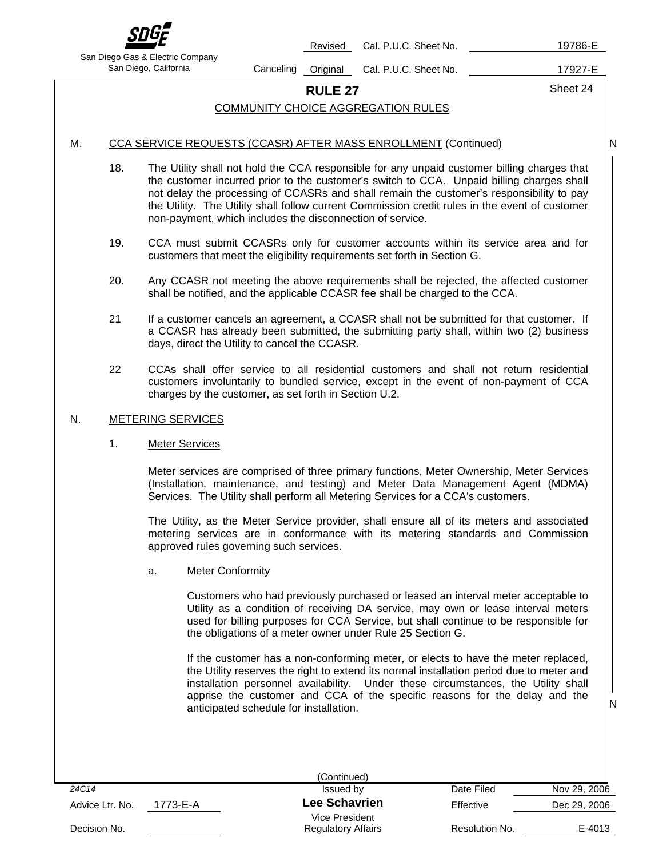

Revised Cal. P.U.C. Sheet No. 19786-E

San Diego Gas & Electric Company

San Diego, California Canceling Original Cal. P.U.C. Sheet No. 17927-E

**RULE 27** Sheet 24

# COMMUNITY CHOICE AGGREGATION RULES

# M. CCA SERVICE REQUESTS (CCASR) AFTER MASS ENROLLMENT (Continued)

N

N

- 18. The Utility shall not hold the CCA responsible for any unpaid customer billing charges that the customer incurred prior to the customer's switch to CCA. Unpaid billing charges shall not delay the processing of CCASRs and shall remain the customer's responsibility to pay the Utility. The Utility shall follow current Commission credit rules in the event of customer non-payment, which includes the disconnection of service.
- 19. CCA must submit CCASRs only for customer accounts within its service area and for customers that meet the eligibility requirements set forth in Section G.
- 20. Any CCASR not meeting the above requirements shall be rejected, the affected customer shall be notified, and the applicable CCASR fee shall be charged to the CCA.
- 21 If a customer cancels an agreement, a CCASR shall not be submitted for that customer. If a CCASR has already been submitted, the submitting party shall, within two (2) business days, direct the Utility to cancel the CCASR.
- 22 CCAs shall offer service to all residential customers and shall not return residential customers involuntarily to bundled service, except in the event of non-payment of CCA charges by the customer, as set forth in Section U.2.

### N. METERING SERVICES

### 1. Meter Services

 Meter services are comprised of three primary functions, Meter Ownership, Meter Services (Installation, maintenance, and testing) and Meter Data Management Agent (MDMA) Services. The Utility shall perform all Metering Services for a CCA's customers.

 The Utility, as the Meter Service provider, shall ensure all of its meters and associated metering services are in conformance with its metering standards and Commission approved rules governing such services.

a. Meter Conformity

Customers who had previously purchased or leased an interval meter acceptable to Utility as a condition of receiving DA service, may own or lease interval meters used for billing purposes for CCA Service, but shall continue to be responsible for the obligations of a meter owner under Rule 25 Section G.

If the customer has a non-conforming meter, or elects to have the meter replaced, the Utility reserves the right to extend its normal installation period due to meter and installation personnel availability. Under these circumstances, the Utility shall apprise the customer and CCA of the specific reasons for the delay and the anticipated schedule for installation.

|                 |          | (Continued)               |                |              |
|-----------------|----------|---------------------------|----------------|--------------|
| 24C14           |          | Issued by                 | Date Filed     | Nov 29, 2006 |
| Advice Ltr. No. | 1773-E-A | <b>Lee Schavrien</b>      | Effective      | Dec 29, 2006 |
|                 |          | Vice President            |                |              |
| Decision No.    |          | <b>Regulatory Affairs</b> | Resolution No. | E-4013       |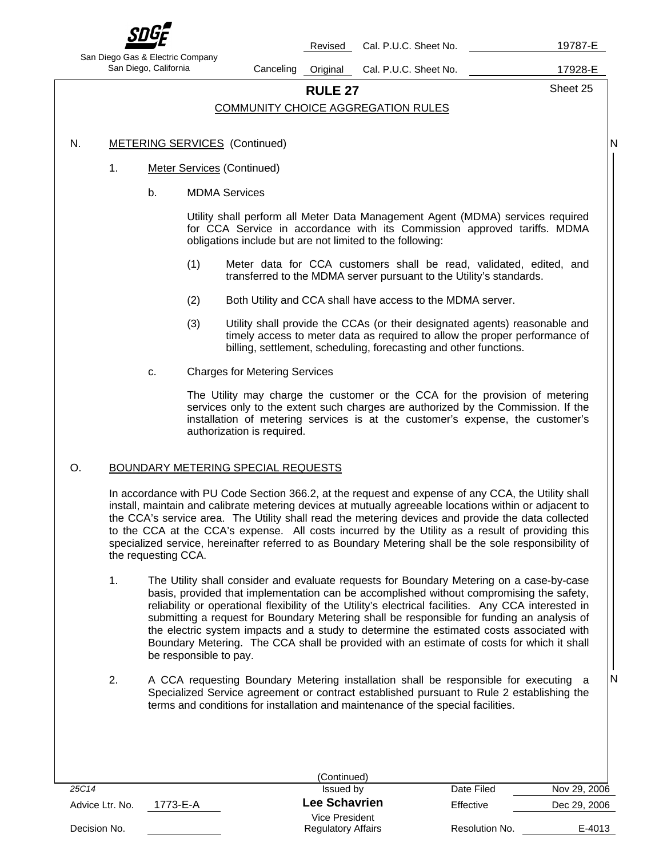

Revised Cal. P.U.C. Sheet No. 19787-E

San Diego Gas & Electric Company

San Diego, California Canceling Original Cal. P.U.C. Sheet No. 17928-E

**RULE 27** Sheet 25

N

N

## COMMUNITY CHOICE AGGREGATION RULES

### N. METERING SERVICES (Continued)

- 1. Meter Services (Continued)
	- b. MDMA Services

Utility shall perform all Meter Data Management Agent (MDMA) services required for CCA Service in accordance with its Commission approved tariffs. MDMA obligations include but are not limited to the following:

- (1) Meter data for CCA customers shall be read, validated, edited, and transferred to the MDMA server pursuant to the Utility's standards.
- (2) Both Utility and CCA shall have access to the MDMA server.
- (3) Utility shall provide the CCAs (or their designated agents) reasonable and timely access to meter data as required to allow the proper performance of billing, settlement, scheduling, forecasting and other functions.
- c. Charges for Metering Services

The Utility may charge the customer or the CCA for the provision of metering services only to the extent such charges are authorized by the Commission. If the installation of metering services is at the customer's expense, the customer's authorization is required.

### O. BOUNDARY METERING SPECIAL REQUESTS

In accordance with PU Code Section 366.2, at the request and expense of any CCA, the Utility shall install, maintain and calibrate metering devices at mutually agreeable locations within or adjacent to the CCA's service area. The Utility shall read the metering devices and provide the data collected to the CCA at the CCA's expense. All costs incurred by the Utility as a result of providing this specialized service, hereinafter referred to as Boundary Metering shall be the sole responsibility of the requesting CCA.

- 1. The Utility shall consider and evaluate requests for Boundary Metering on a case-by-case basis, provided that implementation can be accomplished without compromising the safety, reliability or operational flexibility of the Utility's electrical facilities. Any CCA interested in submitting a request for Boundary Metering shall be responsible for funding an analysis of the electric system impacts and a study to determine the estimated costs associated with Boundary Metering. The CCA shall be provided with an estimate of costs for which it shall be responsible to pay.
- 2. A CCA requesting Boundary Metering installation shall be responsible for executing a Specialized Service agreement or contract established pursuant to Rule 2 establishing the terms and conditions for installation and maintenance of the special facilities.

|                 |          | (Continued)                                 |                |              |
|-----------------|----------|---------------------------------------------|----------------|--------------|
| 25C14           |          | Issued by                                   | Date Filed     | Nov 29, 2006 |
| Advice Ltr. No. | 1773-E-A | <b>Lee Schavrien</b>                        | Effective      | Dec 29, 2006 |
| Decision No.    |          | Vice President<br><b>Regulatory Affairs</b> | Resolution No. | E-4013       |
|                 |          |                                             |                |              |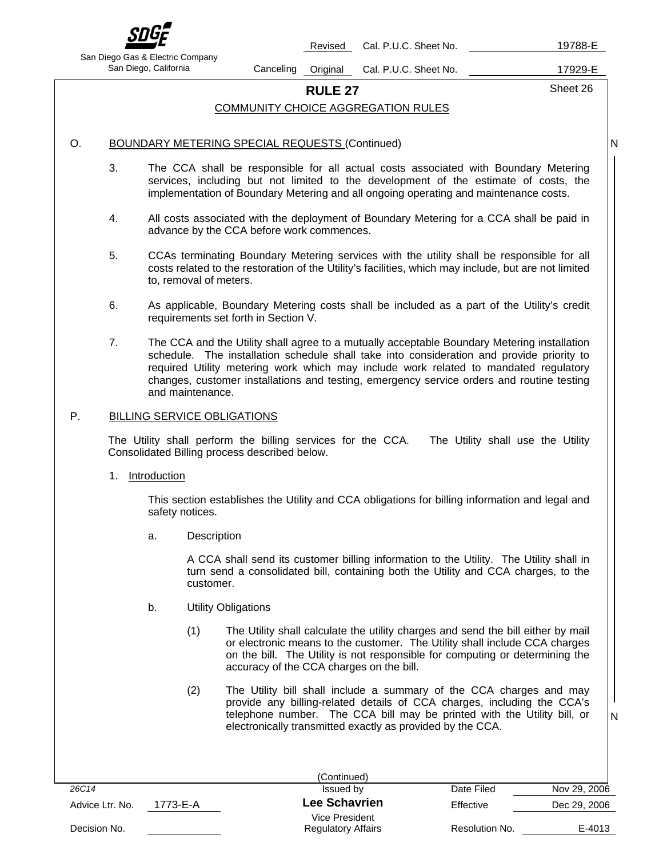

Revised Cal. P.U.C. Sheet No. 19788-E

San Diego Gas & Electric Company

San Diego, California Canceling Original Cal. P.U.C. Sheet No. 17929-E

**RULE 27** Sheet 26

N

N

### COMMUNITY CHOICE AGGREGATION RULES

### O. BOUNDARY METERING SPECIAL REQUESTS (Continued)

- 3. The CCA shall be responsible for all actual costs associated with Boundary Metering services, including but not limited to the development of the estimate of costs, the implementation of Boundary Metering and all ongoing operating and maintenance costs.
- 4. All costs associated with the deployment of Boundary Metering for a CCA shall be paid in advance by the CCA before work commences.
- 5. CCAs terminating Boundary Metering services with the utility shall be responsible for all costs related to the restoration of the Utility's facilities, which may include, but are not limited to, removal of meters.
- 6. As applicable, Boundary Metering costs shall be included as a part of the Utility's credit requirements set forth in Section V.
- 7. The CCA and the Utility shall agree to a mutually acceptable Boundary Metering installation schedule. The installation schedule shall take into consideration and provide priority to required Utility metering work which may include work related to mandated regulatory changes, customer installations and testing, emergency service orders and routine testing and maintenance.

### P. BILLING SERVICE OBLIGATIONS

The Utility shall perform the billing services for the CCA. The Utility shall use the Utility Consolidated Billing process described below.

1. Introduction

This section establishes the Utility and CCA obligations for billing information and legal and safety notices.

a. Description

A CCA shall send its customer billing information to the Utility. The Utility shall in turn send a consolidated bill, containing both the Utility and CCA charges, to the customer.

- b. Utility Obligations
	- (1) The Utility shall calculate the utility charges and send the bill either by mail or electronic means to the customer. The Utility shall include CCA charges on the bill. The Utility is not responsible for computing or determining the accuracy of the CCA charges on the bill.
	- (2) The Utility bill shall include a summary of the CCA charges and may provide any billing-related details of CCA charges, including the CCA's telephone number. The CCA bill may be printed with the Utility bill, or electronically transmitted exactly as provided by the CCA.

|                 |          | (Continued)                                 |                |              |
|-----------------|----------|---------------------------------------------|----------------|--------------|
| 26C14           |          | Issued by                                   | Date Filed     | Nov 29, 2006 |
| Advice Ltr. No. | 1773-E-A | <b>Lee Schavrien</b>                        | Effective      | Dec 29, 2006 |
| Decision No.    |          | Vice President<br><b>Regulatory Affairs</b> | Resolution No. | E-4013       |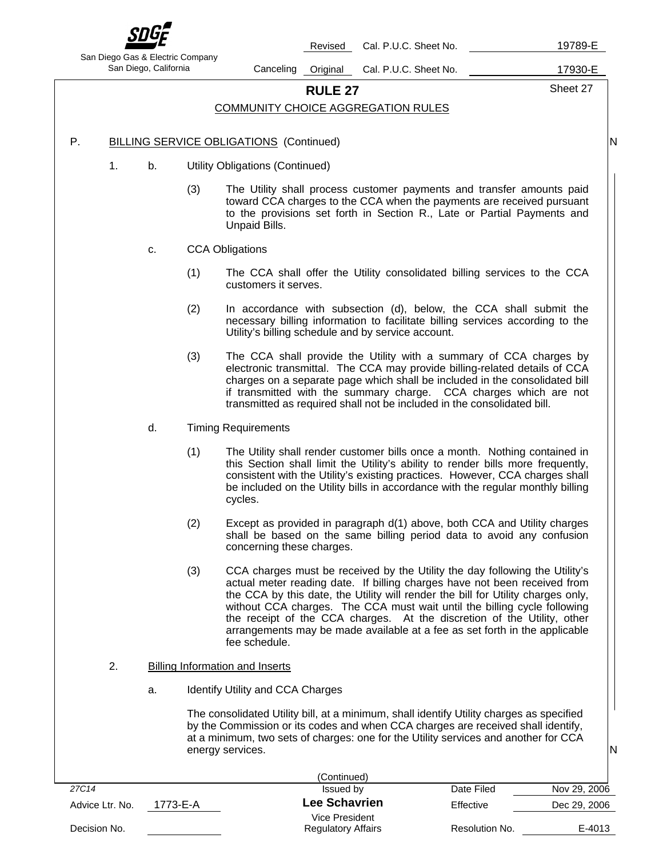

San Diego Gas & Electric Company

Revised Cal. P.U.C. Sheet No. 19789-E

San Diego, California Canceling Original Cal. P.U.C. Sheet No. 17930-E

# **RULE 27** Sheet 27

### COMMUNITY CHOICE AGGREGATION RULES

- P. BILLING SERVICE OBLIGATIONS (Continued)
	- 1. b. Utility Obligations (Continued)
		- (3) The Utility shall process customer payments and transfer amounts paid toward CCA charges to the CCA when the payments are received pursuant to the provisions set forth in Section R., Late or Partial Payments and Unpaid Bills.
		- c. CCA Obligations
			- (1) The CCA shall offer the Utility consolidated billing services to the CCA customers it serves.
			- (2) In accordance with subsection (d), below, the CCA shall submit the necessary billing information to facilitate billing services according to the Utility's billing schedule and by service account.
			- (3) The CCA shall provide the Utility with a summary of CCA charges by electronic transmittal. The CCA may provide billing-related details of CCA charges on a separate page which shall be included in the consolidated bill if transmitted with the summary charge. CCA charges which are not transmitted as required shall not be included in the consolidated bill.
		- d. Timing Requirements
			- (1) The Utility shall render customer bills once a month. Nothing contained in this Section shall limit the Utility's ability to render bills more frequently, consistent with the Utility's existing practices. However, CCA charges shall be included on the Utility bills in accordance with the regular monthly billing cycles.
			- (2) Except as provided in paragraph d(1) above, both CCA and Utility charges shall be based on the same billing period data to avoid any confusion concerning these charges.
			- (3) CCA charges must be received by the Utility the day following the Utility's actual meter reading date. If billing charges have not been received from the CCA by this date, the Utility will render the bill for Utility charges only, without CCA charges. The CCA must wait until the billing cycle following the receipt of the CCA charges. At the discretion of the Utility, other arrangements may be made available at a fee as set forth in the applicable fee schedule.
	- 2. Billing Information and Inserts
		- a. Identify Utility and CCA Charges

The consolidated Utility bill, at a minimum, shall identify Utility charges as specified by the Commission or its codes and when CCA charges are received shall identify, at a minimum, two sets of charges: one for the Utility services and another for CCA energy services.

|                 |          | (Continued)               |                |              |
|-----------------|----------|---------------------------|----------------|--------------|
| 27C14           |          | Issued by                 | Date Filed     | Nov 29, 2006 |
| Advice Ltr. No. | 1773-E-A | <b>Lee Schavrien</b>      | Effective      | Dec 29, 2006 |
|                 |          | Vice President            |                |              |
| Decision No.    |          | <b>Regulatory Affairs</b> | Resolution No. | E-4013       |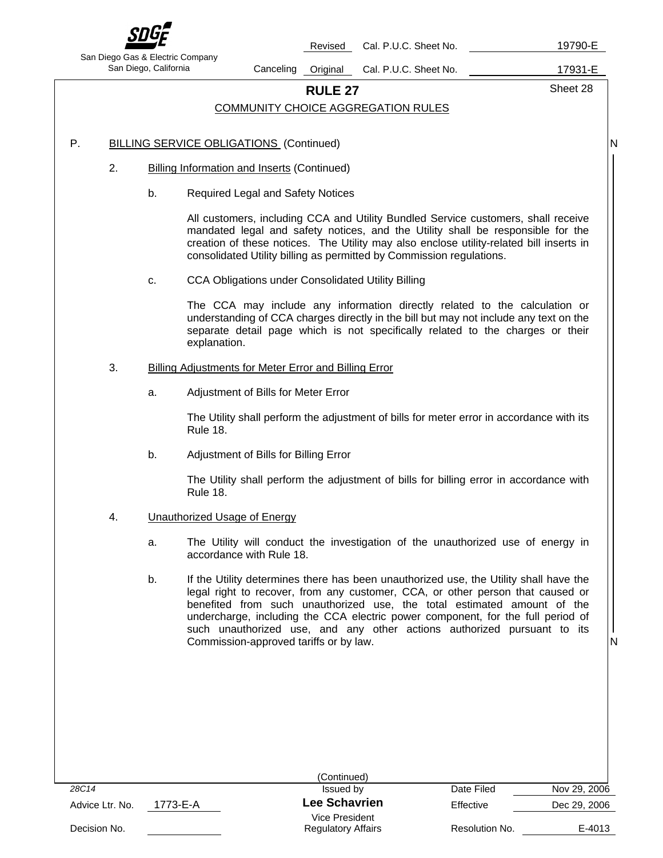

Revised Cal. P.U.C. Sheet No. 19790-E

San Diego Gas & Electric Company

San Diego, California **Canceling Original Cal. P.U.C. Sheet No.** 17931-E

**RULE 27** Sheet 28

N

### COMMUNITY CHOICE AGGREGATION RULES

### P. BILLING SERVICE OBLIGATIONS (Continued)

- 2. Billing Information and Inserts (Continued)
	- b. Required Legal and Safety Notices

All customers, including CCA and Utility Bundled Service customers, shall receive mandated legal and safety notices, and the Utility shall be responsible for the creation of these notices. The Utility may also enclose utility-related bill inserts in consolidated Utility billing as permitted by Commission regulations.

c. CCA Obligations under Consolidated Utility Billing

The CCA may include any information directly related to the calculation or understanding of CCA charges directly in the bill but may not include any text on the separate detail page which is not specifically related to the charges or their explanation.

### 3. Billing Adjustments for Meter Error and Billing Error

a. Adjustment of Bills for Meter Error

The Utility shall perform the adjustment of bills for meter error in accordance with its Rule 18.

b. Adjustment of Bills for Billing Error

The Utility shall perform the adjustment of bills for billing error in accordance with Rule 18.

- 4. Unauthorized Usage of Energy
	- a. The Utility will conduct the investigation of the unauthorized use of energy in accordance with Rule 18.
	- b. If the Utility determines there has been unauthorized use, the Utility shall have the legal right to recover, from any customer, CCA, or other person that caused or benefited from such unauthorized use, the total estimated amount of the undercharge, including the CCA electric power component, for the full period of such unauthorized use, and any other actions authorized pursuant to its Commission-approved tariffs or by law.

|                             | (Continued)               |                |              |
|-----------------------------|---------------------------|----------------|--------------|
| 28C14                       | Issued by                 | Date Filed     | Nov 29, 2006 |
| 1773-E-A<br>Advice Ltr. No. | <b>Lee Schavrien</b>      | Effective      | Dec 29, 2006 |
|                             | Vice President            |                |              |
| Decision No.                | <b>Regulatory Affairs</b> | Resolution No. | E-4013       |
|                             |                           |                |              |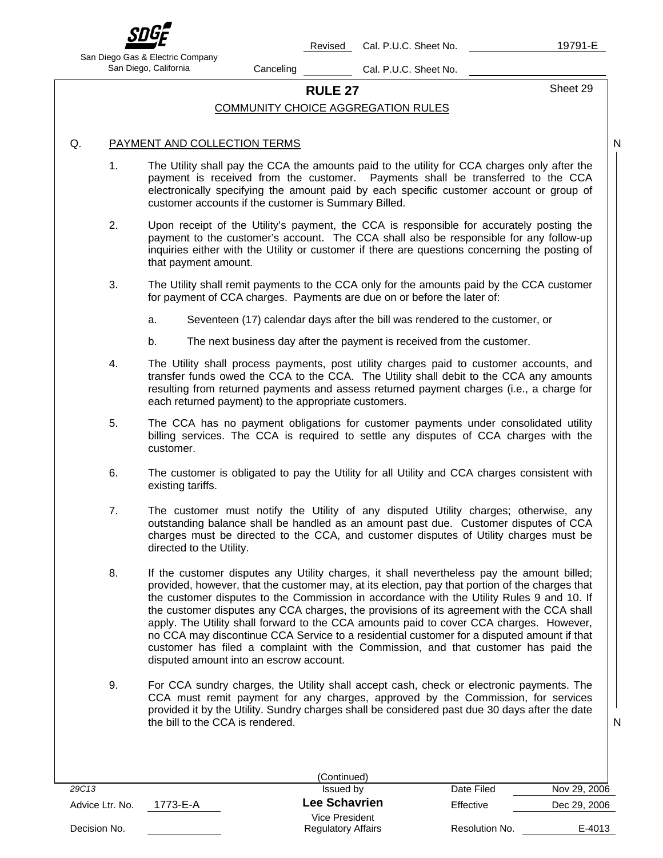

Revised Cal. P.U.C. Sheet No. 19791-E

San Diego Gas & Electric Company San Diego, California Canceling Cal. P.U.C. Sheet No.

# **RULE 27** Sheet 29

### COMMUNITY CHOICE AGGREGATION RULES

### Q. PAYMENT AND COLLECTION TERMS

- 1. The Utility shall pay the CCA the amounts paid to the utility for CCA charges only after the payment is received from the customer. Payments shall be transferred to the CCA electronically specifying the amount paid by each specific customer account or group of customer accounts if the customer is Summary Billed.
- 2. Upon receipt of the Utility's payment, the CCA is responsible for accurately posting the payment to the customer's account. The CCA shall also be responsible for any follow-up inquiries either with the Utility or customer if there are questions concerning the posting of that payment amount.
- 3. The Utility shall remit payments to the CCA only for the amounts paid by the CCA customer for payment of CCA charges. Payments are due on or before the later of:
	- a. Seventeen (17) calendar days after the bill was rendered to the customer, or
	- b. The next business day after the payment is received from the customer.
- 4. The Utility shall process payments, post utility charges paid to customer accounts, and transfer funds owed the CCA to the CCA. The Utility shall debit to the CCA any amounts resulting from returned payments and assess returned payment charges (i.e., a charge for each returned payment) to the appropriate customers.
- 5. The CCA has no payment obligations for customer payments under consolidated utility billing services. The CCA is required to settle any disputes of CCA charges with the customer.
- 6. The customer is obligated to pay the Utility for all Utility and CCA charges consistent with existing tariffs.
- 7. The customer must notify the Utility of any disputed Utility charges; otherwise, any outstanding balance shall be handled as an amount past due. Customer disputes of CCA charges must be directed to the CCA, and customer disputes of Utility charges must be directed to the Utility.
- 8. If the customer disputes any Utility charges, it shall nevertheless pay the amount billed; provided, however, that the customer may, at its election, pay that portion of the charges that the customer disputes to the Commission in accordance with the Utility Rules 9 and 10. If the customer disputes any CCA charges, the provisions of its agreement with the CCA shall apply. The Utility shall forward to the CCA amounts paid to cover CCA charges. However, no CCA may discontinue CCA Service to a residential customer for a disputed amount if that customer has filed a complaint with the Commission, and that customer has paid the disputed amount into an escrow account.
- 9. For CCA sundry charges, the Utility shall accept cash, check or electronic payments. The CCA must remit payment for any charges, approved by the Commission, for services provided it by the Utility. Sundry charges shall be considered past due 30 days after the date the bill to the CCA is rendered.

|                             | (Continued)                                 |                |              |
|-----------------------------|---------------------------------------------|----------------|--------------|
| 29C13                       | Issued by                                   | Date Filed     | Nov 29, 2006 |
| 1773-E-A<br>Advice Ltr. No. | Lee Schavrien                               | Effective      | Dec 29, 2006 |
| Decision No.                | Vice President<br><b>Regulatory Affairs</b> | Resolution No. | E-4013       |
|                             |                                             |                |              |

N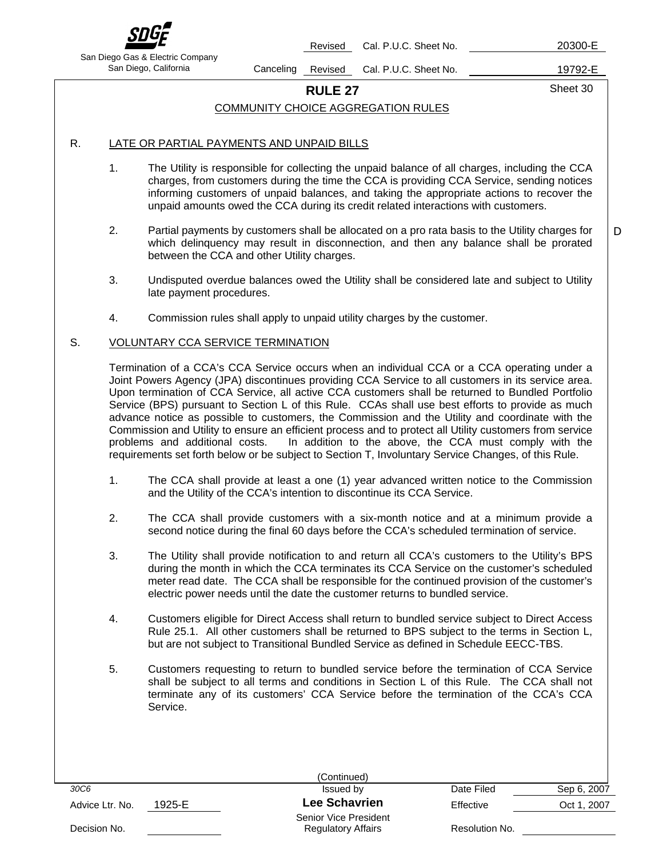

Revised Cal. P.U.C. Sheet No. 20300-E

San Diego Gas & Electric Company

San Diego, California Canceling Revised Cal. P.U.C. Sheet No. 19792-E

**RULE 27** Sheet 30

D

### COMMUNITY CHOICE AGGREGATION RULES

### R. LATE OR PARTIAL PAYMENTS AND UNPAID BILLS

- 1. The Utility is responsible for collecting the unpaid balance of all charges, including the CCA charges, from customers during the time the CCA is providing CCA Service, sending notices informing customers of unpaid balances, and taking the appropriate actions to recover the unpaid amounts owed the CCA during its credit related interactions with customers.
- 2. Partial payments by customers shall be allocated on a pro rata basis to the Utility charges for which delinquency may result in disconnection, and then any balance shall be prorated between the CCA and other Utility charges.
- 3. Undisputed overdue balances owed the Utility shall be considered late and subject to Utility late payment procedures.
- 4. Commission rules shall apply to unpaid utility charges by the customer.

### S. VOLUNTARY CCA SERVICE TERMINATION

Termination of a CCA's CCA Service occurs when an individual CCA or a CCA operating under a Joint Powers Agency (JPA) discontinues providing CCA Service to all customers in its service area. Upon termination of CCA Service, all active CCA customers shall be returned to Bundled Portfolio Service (BPS) pursuant to Section L of this Rule. CCAs shall use best efforts to provide as much advance notice as possible to customers, the Commission and the Utility and coordinate with the Commission and Utility to ensure an efficient process and to protect all Utility customers from service problems and additional costs. In addition to the above, the CCA must comply with the requirements set forth below or be subject to Section T, Involuntary Service Changes, of this Rule.

- 1. The CCA shall provide at least a one (1) year advanced written notice to the Commission and the Utility of the CCA's intention to discontinue its CCA Service.
- 2. The CCA shall provide customers with a six-month notice and at a minimum provide a second notice during the final 60 days before the CCA's scheduled termination of service.
- 3. The Utility shall provide notification to and return all CCA's customers to the Utility's BPS during the month in which the CCA terminates its CCA Service on the customer's scheduled meter read date. The CCA shall be responsible for the continued provision of the customer's electric power needs until the date the customer returns to bundled service.
- 4. Customers eligible for Direct Access shall return to bundled service subject to Direct Access Rule 25.1. All other customers shall be returned to BPS subject to the terms in Section L, but are not subject to Transitional Bundled Service as defined in Schedule EECC-TBS.
- 5. Customers requesting to return to bundled service before the termination of CCA Service shall be subject to all terms and conditions in Section L of this Rule. The CCA shall not terminate any of its customers' CCA Service before the termination of the CCA's CCA Service.

|                 |        | (Continued)                                        |                |             |
|-----------------|--------|----------------------------------------------------|----------------|-------------|
| 30C6            |        | Issued by                                          | Date Filed     | Sep 6, 2007 |
| Advice Ltr. No. | 1925-E | <b>Lee Schavrien</b>                               | Effective      | Oct 1, 2007 |
| Decision No.    |        | Senior Vice President<br><b>Regulatory Affairs</b> | Resolution No. |             |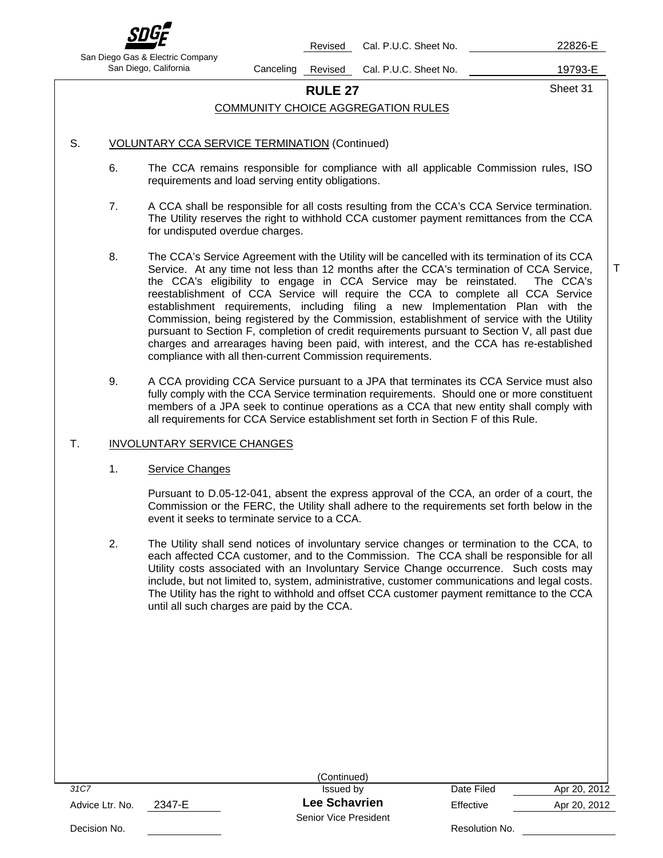

Revised Cal. P.U.C. Sheet No. 22826-E

San Diego Gas & Electric Company

San Diego, California Canceling Revised Cal. P.U.C. Sheet No. 19793-E

**RULE 27** Sheet 31

T

### COMMUNITY CHOICE AGGREGATION RULES

### S. **VOLUNTARY CCA SERVICE TERMINATION (Continued)**

- 6. The CCA remains responsible for compliance with all applicable Commission rules, ISO requirements and load serving entity obligations.
- 7. A CCA shall be responsible for all costs resulting from the CCA's CCA Service termination. The Utility reserves the right to withhold CCA customer payment remittances from the CCA for undisputed overdue charges.
- 8. The CCA's Service Agreement with the Utility will be cancelled with its termination of its CCA Service. At any time not less than 12 months after the CCA's termination of CCA Service, the CCA's eligibility to engage in CCA Service may be reinstated. The CCA's reestablishment of CCA Service will require the CCA to complete all CCA Service establishment requirements, including filing a new Implementation Plan with the Commission, being registered by the Commission, establishment of service with the Utility pursuant to Section F, completion of credit requirements pursuant to Section V, all past due charges and arrearages having been paid, with interest, and the CCA has re-established compliance with all then-current Commission requirements.
- 9. A CCA providing CCA Service pursuant to a JPA that terminates its CCA Service must also fully comply with the CCA Service termination requirements. Should one or more constituent members of a JPA seek to continue operations as a CCA that new entity shall comply with all requirements for CCA Service establishment set forth in Section F of this Rule.

### T. **INVOLUNTARY SERVICE CHANGES**

### 1. Service Changes

Pursuant to D.05-12-041, absent the express approval of the CCA, an order of a court, the Commission or the FERC, the Utility shall adhere to the requirements set forth below in the event it seeks to terminate service to a CCA.

2. The Utility shall send notices of involuntary service changes or termination to the CCA, to each affected CCA customer, and to the Commission. The CCA shall be responsible for all Utility costs associated with an Involuntary Service Change occurrence. Such costs may include, but not limited to, system, administrative, customer communications and legal costs. The Utility has the right to withhold and offset CCA customer payment remittance to the CCA until all such charges are paid by the CCA.

|                           | (Continued)                                   |                |              |
|---------------------------|-----------------------------------------------|----------------|--------------|
| 31C7                      | Issued by                                     | Date Filed     | Apr 20, 2012 |
| 2347-E<br>Advice Ltr. No. | <b>Lee Schavrien</b><br>Senior Vice President | Effective      | Apr 20, 2012 |
| Decision No.              |                                               | Resolution No. |              |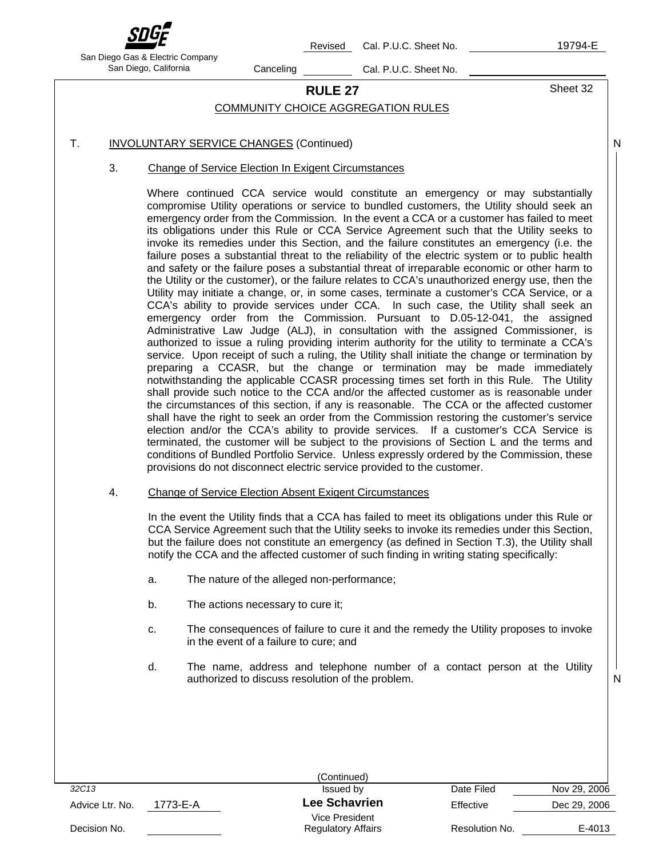

Revised Cal. P.U.C. Sheet No. 19794-E

N

N

San Diego Gas & Electric Company San Diego, California Canceling Cal. P.U.C. Sheet No.

# **RULE 27** Sheet 32

### COMMUNITY CHOICE AGGREGATION RULES

- T. **INVOLUNTARY SERVICE CHANGES (Continued)** 
	- 3. Change of Service Election In Exigent Circumstances

Where continued CCA service would constitute an emergency or may substantially compromise Utility operations or service to bundled customers, the Utility should seek an emergency order from the Commission. In the event a CCA or a customer has failed to meet its obligations under this Rule or CCA Service Agreement such that the Utility seeks to invoke its remedies under this Section, and the failure constitutes an emergency (i.e. the failure poses a substantial threat to the reliability of the electric system or to public health and safety or the failure poses a substantial threat of irreparable economic or other harm to the Utility or the customer), or the failure relates to CCA's unauthorized energy use, then the Utility may initiate a change, or, in some cases, terminate a customer's CCA Service, or a CCA's ability to provide services under CCA. In such case, the Utility shall seek an emergency order from the Commission. Pursuant to D.05-12-041, the assigned Administrative Law Judge (ALJ), in consultation with the assigned Commissioner, is authorized to issue a ruling providing interim authority for the utility to terminate a CCA's service. Upon receipt of such a ruling, the Utility shall initiate the change or termination by preparing a CCASR, but the change or termination may be made immediately notwithstanding the applicable CCASR processing times set forth in this Rule. The Utility shall provide such notice to the CCA and/or the affected customer as is reasonable under the circumstances of this section, if any is reasonable. The CCA or the affected customer shall have the right to seek an order from the Commission restoring the customer's service election and/or the CCA's ability to provide services. If a customer's CCA Service is terminated, the customer will be subject to the provisions of Section L and the terms and conditions of Bundled Portfolio Service. Unless expressly ordered by the Commission, these provisions do not disconnect electric service provided to the customer.

4. Change of Service Election Absent Exigent Circumstances

In the event the Utility finds that a CCA has failed to meet its obligations under this Rule or CCA Service Agreement such that the Utility seeks to invoke its remedies under this Section, but the failure does not constitute an emergency (as defined in Section T.3), the Utility shall notify the CCA and the affected customer of such finding in writing stating specifically:

- a. The nature of the alleged non-performance;
- b. The actions necessary to cure it;
- c. The consequences of failure to cure it and the remedy the Utility proposes to invoke in the event of a failure to cure; and
- d. The name, address and telephone number of a contact person at the Utility authorized to discuss resolution of the problem.

|                 |          | (Continued)               |                |              |
|-----------------|----------|---------------------------|----------------|--------------|
| 32C13           |          | Issued by                 | Date Filed     | Nov 29, 2006 |
| Advice Ltr. No. | 1773-E-A | <b>Lee Schavrien</b>      | Effective      | Dec 29, 2006 |
|                 |          | Vice President            |                |              |
| Decision No.    |          | <b>Regulatory Affairs</b> | Resolution No. | E-4013       |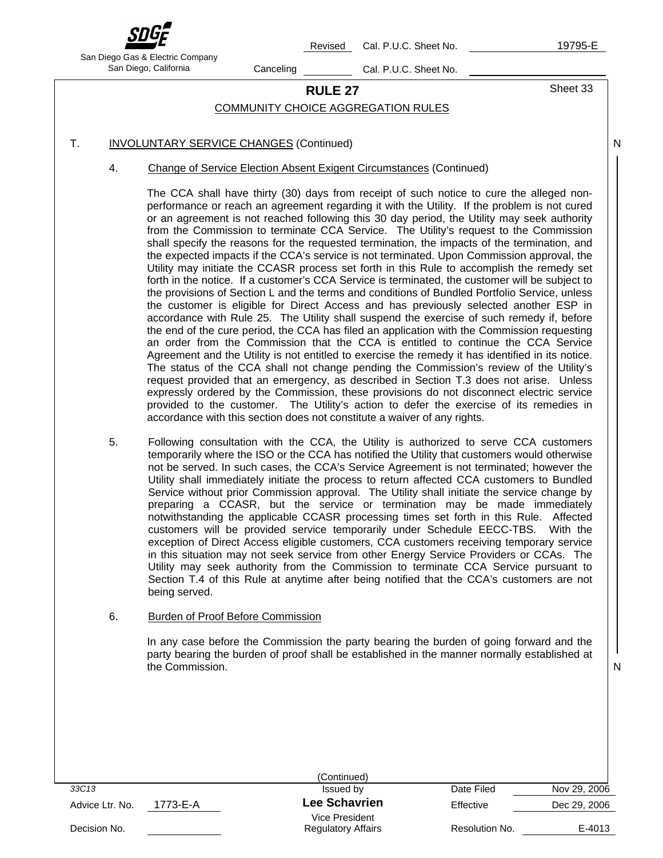

Revised Cal. P.U.C. Sheet No. 19795-E

N

N

San Diego Gas & Electric Company San Diego, California Canceling Cal. P.U.C. Sheet No.

# **RULE 27** Sheet 33

### COMMUNITY CHOICE AGGREGATION RULES

### T. **INVOLUNTARY SERVICE CHANGES** (Continued)

4. Change of Service Election Absent Exigent Circumstances (Continued)

The CCA shall have thirty (30) days from receipt of such notice to cure the alleged nonperformance or reach an agreement regarding it with the Utility. If the problem is not cured or an agreement is not reached following this 30 day period, the Utility may seek authority from the Commission to terminate CCA Service. The Utility's request to the Commission shall specify the reasons for the requested termination, the impacts of the termination, and the expected impacts if the CCA's service is not terminated. Upon Commission approval, the Utility may initiate the CCASR process set forth in this Rule to accomplish the remedy set forth in the notice. If a customer's CCA Service is terminated, the customer will be subject to the provisions of Section L and the terms and conditions of Bundled Portfolio Service, unless the customer is eligible for Direct Access and has previously selected another ESP in accordance with Rule 25. The Utility shall suspend the exercise of such remedy if, before the end of the cure period, the CCA has filed an application with the Commission requesting an order from the Commission that the CCA is entitled to continue the CCA Service Agreement and the Utility is not entitled to exercise the remedy it has identified in its notice. The status of the CCA shall not change pending the Commission's review of the Utility's request provided that an emergency, as described in Section T.3 does not arise. Unless expressly ordered by the Commission, these provisions do not disconnect electric service provided to the customer. The Utility's action to defer the exercise of its remedies in accordance with this section does not constitute a waiver of any rights.

5. Following consultation with the CCA, the Utility is authorized to serve CCA customers temporarily where the ISO or the CCA has notified the Utility that customers would otherwise not be served. In such cases, the CCA's Service Agreement is not terminated; however the Utility shall immediately initiate the process to return affected CCA customers to Bundled Service without prior Commission approval. The Utility shall initiate the service change by preparing a CCASR, but the service or termination may be made immediately notwithstanding the applicable CCASR processing times set forth in this Rule. Affected customers will be provided service temporarily under Schedule EECC-TBS. With the exception of Direct Access eligible customers, CCA customers receiving temporary service in this situation may not seek service from other Energy Service Providers or CCAs. The Utility may seek authority from the Commission to terminate CCA Service pursuant to Section T.4 of this Rule at anytime after being notified that the CCA's customers are not being served.

### 6. Burden of Proof Before Commission

In any case before the Commission the party bearing the burden of going forward and the party bearing the burden of proof shall be established in the manner normally established at the Commission.

|                 |          | (Continued)                                 |                |              |
|-----------------|----------|---------------------------------------------|----------------|--------------|
| 33C13           |          | Issued by                                   | Date Filed     | Nov 29, 2006 |
| Advice Ltr. No. | 1773-E-A | <b>Lee Schavrien</b>                        | Effective      | Dec 29, 2006 |
| Decision No.    |          | Vice President<br><b>Regulatory Affairs</b> | Resolution No. | E-4013       |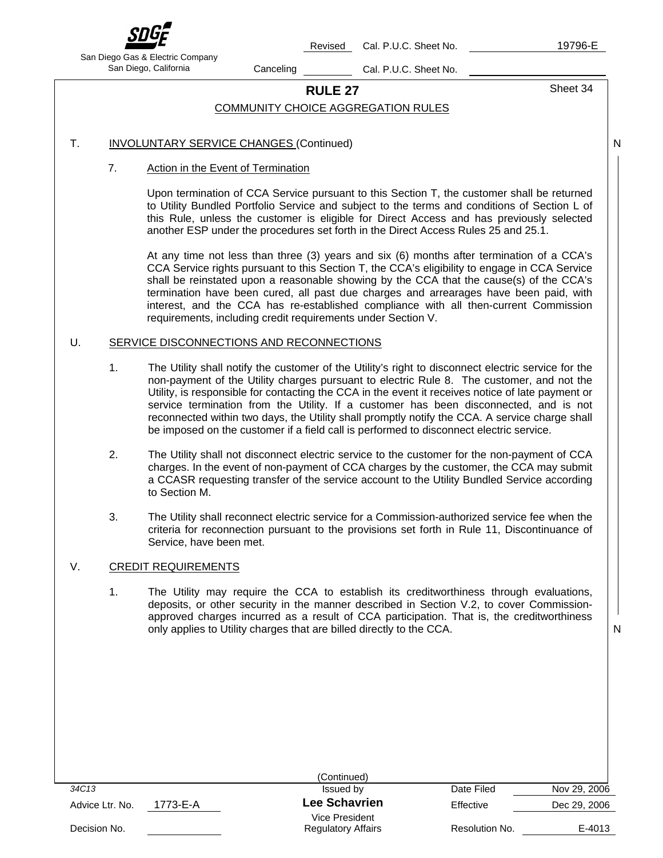

Revised Cal. P.U.C. Sheet No. 19796-E

N

San Diego Gas & Electric Company San Diego, California Canceling Cal. P.U.C. Sheet No.

# **RULE 27** Sheet 34

### COMMUNITY CHOICE AGGREGATION RULES

### T. **INVOLUNTARY SERVICE CHANGES (Continued)**

### 7. Action in the Event of Termination

Upon termination of CCA Service pursuant to this Section T, the customer shall be returned to Utility Bundled Portfolio Service and subject to the terms and conditions of Section L of this Rule, unless the customer is eligible for Direct Access and has previously selected another ESP under the procedures set forth in the Direct Access Rules 25 and 25.1.

At any time not less than three (3) years and six (6) months after termination of a CCA's CCA Service rights pursuant to this Section T, the CCA's eligibility to engage in CCA Service shall be reinstated upon a reasonable showing by the CCA that the cause(s) of the CCA's termination have been cured, all past due charges and arrearages have been paid, with interest, and the CCA has re-established compliance with all then-current Commission requirements, including credit requirements under Section V.

### U. SERVICE DISCONNECTIONS AND RECONNECTIONS

- 1. The Utility shall notify the customer of the Utility's right to disconnect electric service for the non-payment of the Utility charges pursuant to electric Rule 8. The customer, and not the Utility, is responsible for contacting the CCA in the event it receives notice of late payment or service termination from the Utility. If a customer has been disconnected, and is not reconnected within two days, the Utility shall promptly notify the CCA. A service charge shall be imposed on the customer if a field call is performed to disconnect electric service.
- 2. The Utility shall not disconnect electric service to the customer for the non-payment of CCA charges. In the event of non-payment of CCA charges by the customer, the CCA may submit a CCASR requesting transfer of the service account to the Utility Bundled Service according to Section M.
- 3. The Utility shall reconnect electric service for a Commission-authorized service fee when the criteria for reconnection pursuant to the provisions set forth in Rule 11, Discontinuance of Service, have been met.

### V. CREDIT REQUIREMENTS

1. The Utility may require the CCA to establish its creditworthiness through evaluations, deposits, or other security in the manner described in Section V.2, to cover Commissionapproved charges incurred as a result of CCA participation. That is, the creditworthiness only applies to Utility charges that are billed directly to the CCA.

|                 | (Continued)                      |                |              |
|-----------------|----------------------------------|----------------|--------------|
| 34C13           | Issued by                        | Date Filed     | Nov 29, 2006 |
| Advice Ltr. No. | <b>Lee Schavrien</b><br>1773-E-A | Effective      | Dec 29, 2006 |
|                 | Vice President                   |                |              |
| Decision No.    | <b>Regulatory Affairs</b>        | Resolution No. | E-4013       |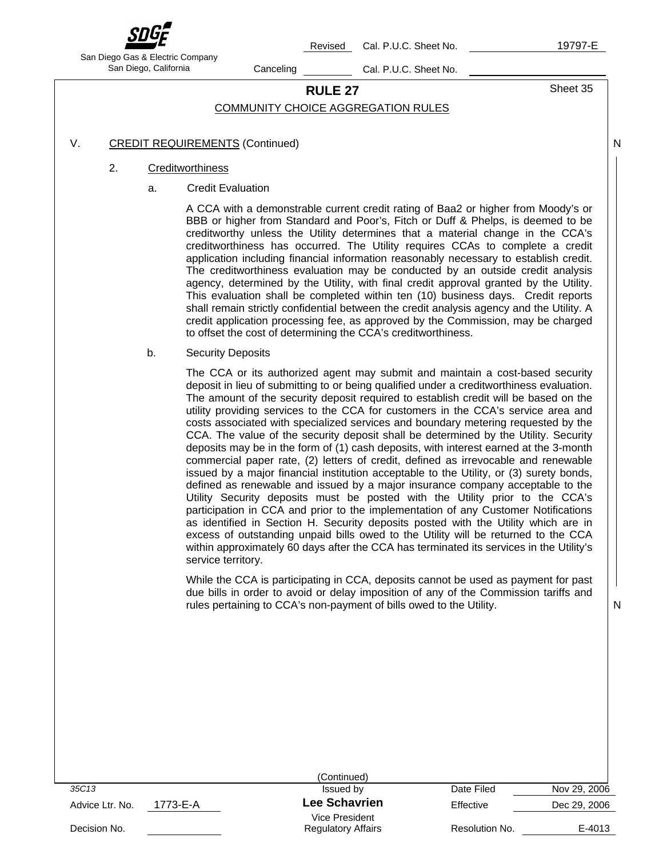

Revised Cal. P.U.C. Sheet No. 19797-E

N

San Diego Gas & Electric Company San Diego, California Canceling Cal. P.U.C. Sheet No.

# **RULE 27** Sheet 35

### COMMUNITY CHOICE AGGREGATION RULES

### V. CREDIT REQUIREMENTS (Continued)

### 2. Creditworthiness

a. Credit Evaluation

A CCA with a demonstrable current credit rating of Baa2 or higher from Moody's or BBB or higher from Standard and Poor's, Fitch or Duff & Phelps, is deemed to be creditworthy unless the Utility determines that a material change in the CCA's creditworthiness has occurred. The Utility requires CCAs to complete a credit application including financial information reasonably necessary to establish credit. The creditworthiness evaluation may be conducted by an outside credit analysis agency, determined by the Utility, with final credit approval granted by the Utility. This evaluation shall be completed within ten (10) business days. Credit reports shall remain strictly confidential between the credit analysis agency and the Utility. A credit application processing fee, as approved by the Commission, may be charged to offset the cost of determining the CCA's creditworthiness.

b. Security Deposits

The CCA or its authorized agent may submit and maintain a cost-based security deposit in lieu of submitting to or being qualified under a creditworthiness evaluation. The amount of the security deposit required to establish credit will be based on the utility providing services to the CCA for customers in the CCA's service area and costs associated with specialized services and boundary metering requested by the CCA. The value of the security deposit shall be determined by the Utility. Security deposits may be in the form of (1) cash deposits, with interest earned at the 3-month commercial paper rate, (2) letters of credit, defined as irrevocable and renewable issued by a major financial institution acceptable to the Utility, or (3) surety bonds, defined as renewable and issued by a major insurance company acceptable to the Utility Security deposits must be posted with the Utility prior to the CCA's participation in CCA and prior to the implementation of any Customer Notifications as identified in Section H. Security deposits posted with the Utility which are in excess of outstanding unpaid bills owed to the Utility will be returned to the CCA within approximately 60 days after the CCA has terminated its services in the Utility's service territory.

While the CCA is participating in CCA, deposits cannot be used as payment for past due bills in order to avoid or delay imposition of any of the Commission tariffs and rules pertaining to CCA's non-payment of bills owed to the Utility.

|                             | (Continued)               |                |              |
|-----------------------------|---------------------------|----------------|--------------|
| 35C13                       | Issued by                 | Date Filed     | Nov 29, 2006 |
| 1773-E-A<br>Advice Ltr. No. | <b>Lee Schavrien</b>      | Effective      | Dec 29, 2006 |
|                             | Vice President            |                |              |
| Decision No.                | <b>Regulatory Affairs</b> | Resolution No. | E-4013       |